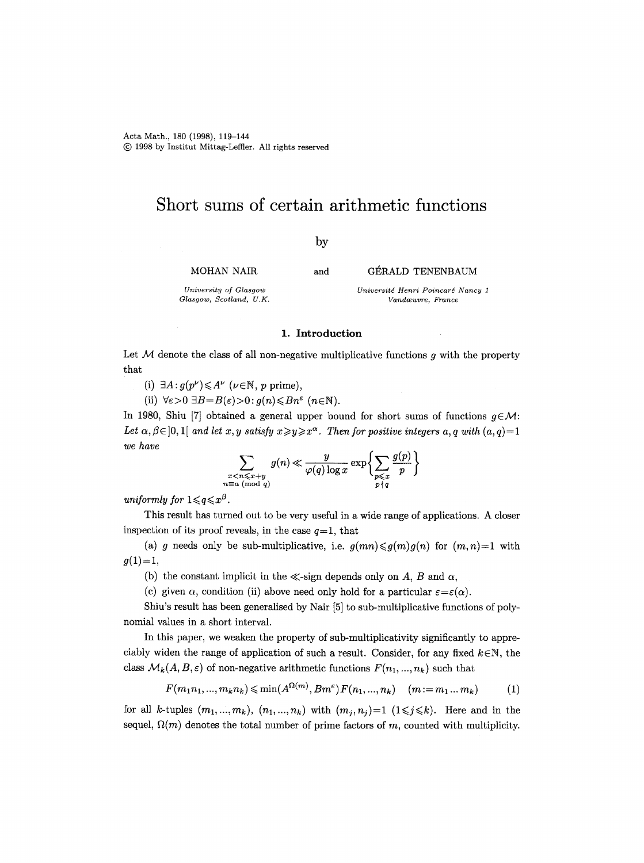Acta Math., 180 (1998), 119-144 (~) 1998 by Institut Mittag-Leffier. All rights reserved

# **Short sums of certain arithmetic functions**

by

MOHAN NAIR

*University of Glasgow Glasgow, Scotland, U.K.*  and GÉRALD TENENBAUM

*Universitd Henri Poincard Nancy 1 Vandoeuvre, France* 

#### 1. **Introduction**

Let  $M$  denote the class of all non-negative multiplicative functions g with the property that

- (i)  $\exists A : g(p^{\nu}) \leq A^{\nu}$  ( $\nu \in \mathbb{N}$ , p prime),
- (ii)  $\forall \varepsilon > 0 \ \exists B = B(\varepsilon) > 0 : g(n) \leq Bn^{\varepsilon} \ (n \in \mathbb{N}).$

In 1980, Shiu [7] obtained a general upper bound for short sums of functions  $q \in \mathcal{M}$ : *Let*  $\alpha, \beta \in ]0,1[$  *and let* x, y satisfy  $x \geq y \geq x^{\alpha}$ . Then for positive integers a, q with  $(a,q)=1$ *we have*   $\sim$   $\sim$ 

$$
\sum_{\substack{x < n \leqslant x+y \\ n \equiv a \pmod{q}}} g(n) \ll \frac{y}{\varphi(q) \log x} \exp \biggl\{ \sum_{\substack{p \leqslant x \\ p \nmid q}} \frac{g(p)}{p} \biggr\}
$$

*uniformly for*  $1 \leqslant q \leqslant x^{\beta}$ .

This result has turned out to be very useful in a wide range of applications. A closer inspection of its proof reveals, in the case  $q=1$ , that

(a) g needs only be sub-multiplicative, i.e.  $g(mn) \leq g(m)g(n)$  for  $(m,n)=1$  with  $g(1)=1,$ 

(b) the constant implicit in the  $\ll$ -sign depends only on A, B and  $\alpha$ ,

(c) given  $\alpha$ , condition (ii) above need only hold for a particular  $\varepsilon = \varepsilon(\alpha)$ .

Shiu's result has been generalised by Nair [5] to sub-multiplicative functions of polynomial values in a short interval.

In this paper, we weaken the property of sub-multiplicativity significantly to appreciably widen the range of application of such a result. Consider, for any fixed  $k \in \mathbb{N}$ , the class  $\mathcal{M}_k(A, B, \varepsilon)$  of non-negative arithmetic functions  $F(n_1, ..., n_k)$  such that

$$
F(m_1n_1, ..., m_kn_k) \le \min(A^{\Omega(m)}, Bm^{\epsilon})F(n_1, ..., n_k) \quad (m := m_1...m_k)
$$
 (1)

for all k-tuples  $(m_1,...,m_k)$ ,  $(n_1,...,n_k)$  with  $(m_j,n_j)=1$   $(1\leq j\leq k)$ . Here and in the sequel,  $\Omega(m)$  denotes the total number of prime factors of m, counted with multiplicity.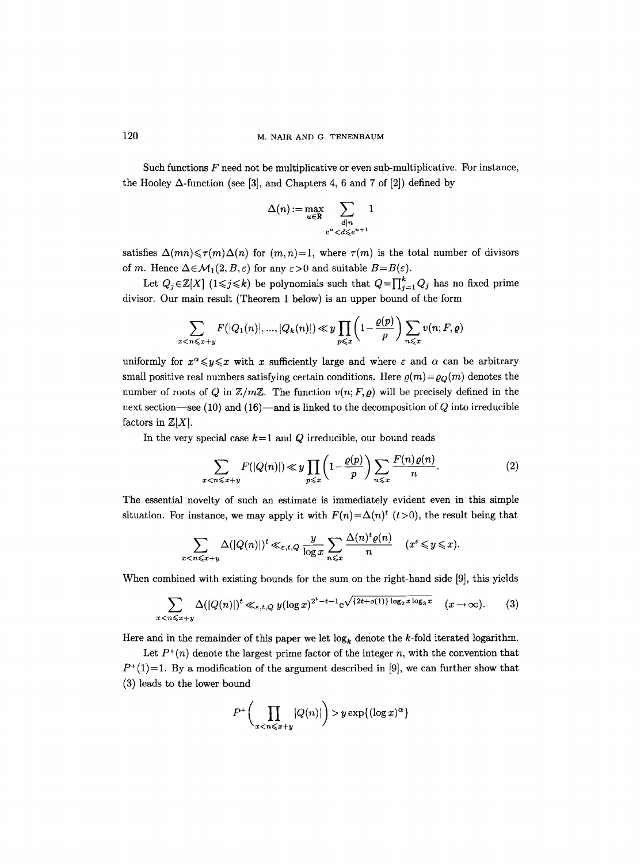Such functions  $F$  need not be multiplicative or even sub-multiplicative. For instance, the Hooley  $\Delta$ -function (see [3], and Chapters 4, 6 and 7 of [2]) defined by

$$
\Delta(n):=\max_{u\in\mathbb{R}}\sum_{\substack{d|n\\e^u
$$

satisfies  $\Delta(mn) \leq \tau(m)\Delta(n)$  for  $(m,n)=1$ , where  $\tau(m)$  is the total number of divisors of m. Hence  $\Delta \in \mathcal{M}_1(2, B, \varepsilon)$  for any  $\varepsilon > 0$  and suitable  $B = B(\varepsilon)$ .

Let  $Q_j \in \mathbb{Z}[X]$  ( $1 \leq j \leq k$ ) be polynomials such that  $Q = \prod_{j=1}^k Q_j$  has no fixed prime divisor. Our main result (Theorem 1 below) is an upper bound of the form

$$
\sum_{x < n \leqslant x+y} F(|Q_1(n)|, ..., |Q_k(n)|) \ll y \prod_{p \leqslant x} \left(1 - \frac{\varrho(p)}{p}\right) \sum_{n \leqslant x} v(n; F, \varrho)
$$

uniformly for  $x^{\alpha} \leq y \leq x$  with x sufficiently large and where  $\varepsilon$  and  $\alpha$  can be arbitrary small positive real numbers satisfying certain conditions. Here  $\rho(m) = \rho<sub>O</sub>(m)$  denotes the number of roots of Q in  $\mathbb{Z}/m\mathbb{Z}$ . The function  $v(n; F, \rho)$  will be precisely defined in the next section—see (10) and (16)—and is linked to the decomposition of  $Q$  into irreducible factors in  $\mathbb{Z}[X]$ .

In the very special case  $k=1$  and  $Q$  irreducible, our bound reads

$$
\sum_{x < n \leqslant x+y} F(|Q(n)|) \ll y \prod_{p \leqslant x} \left(1 - \frac{\varrho(p)}{p}\right) \sum_{n \leqslant x} \frac{F(n)\varrho(n)}{n}.\tag{2}
$$

The essential novelty of such an estimate is immediately evident even in this simple situation. For instance, we may apply it with  $F(n) = \Delta(n)^t$  (t > 0), the result being that

$$
\sum_{x < n \leqslant x+y} \Delta(|Q(n)|)^t \ll_{\varepsilon,t,Q} \frac{y}{\log x} \sum_{n \leqslant x} \frac{\Delta(n)^t \varrho(n)}{n} \quad (x^{\varepsilon} \leqslant y \leqslant x).
$$

When combined with existing bounds for the sum on the right-hand side [9], this yields

$$
\sum_{x < n \leqslant x+y} \Delta(|Q(n)|)^t \ll_{\varepsilon,t,Q} y(\log x)^{2^t - t - 1} e^{\sqrt{\{2t + o(1)\} \log_2 x \log_3 x}} \quad (x \to \infty). \tag{3}
$$

Here and in the remainder of this paper we let  $\log_k$  denote the k-fold iterated logarithm.

Let  $P^+(n)$  denote the largest prime factor of the integer n, with the convention that  $P^+(1)=1$ . By a modification of the argument described in [9], we can further show that (3) leads to the lower bound

$$
P^+\bigg(\prod_{x y \exp\{(\log x)^\alpha\}
$$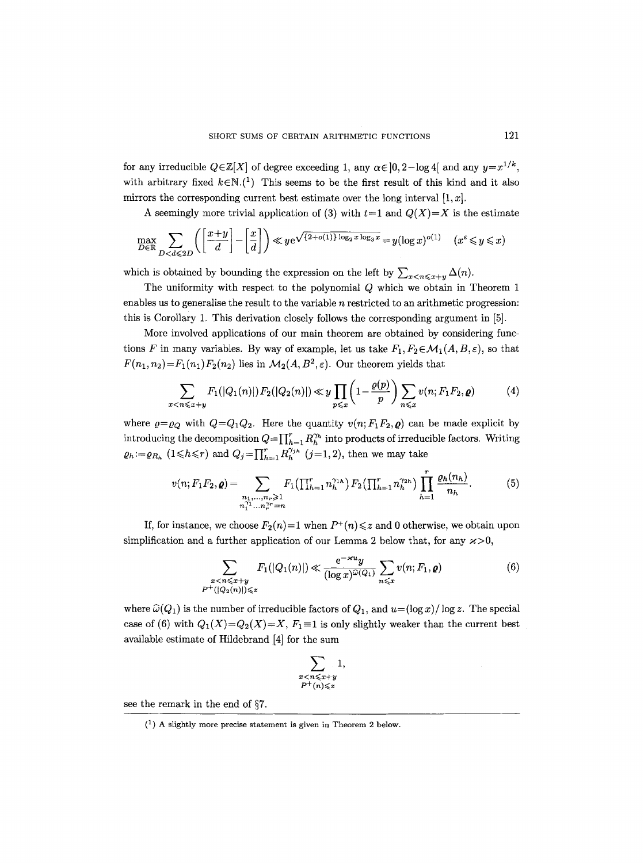for any irreducible  $Q \in \mathbb{Z}[X]$  of degree exceeding 1, any  $\alpha \in ]0, 2-\log 4[$  and any  $y=x^{1/k}$ , with arbitrary fixed  $k \in \mathbb{N}$ .<sup>(1</sup>) This seems to be the first result of this kind and it also mirrors the corresponding current best estimate over the long interval  $[1, x]$ .

A seemingly more trivial application of (3) with  $t=1$  and  $Q(X)=X$  is the estimate

$$
\max_{D \in \mathbb{R}} \sum_{D < d \leqslant 2D} \left( \left[ \frac{x+y}{d} \right] - \left[ \frac{x}{d} \right] \right) \ll y e^{\sqrt{2 + o(1) \log_2 x \log_3 x}} = y (\log x)^{o(1)} \quad (x^{\varepsilon} \leqslant y \leqslant x)
$$

which is obtained by bounding the expression on the left by  $\sum_{x \leq n \leq x+y} \Delta(n)$ .

The uniformity with respect to the polynomial Q which we obtain in Theorem 1 enables us to generalise the result to the variable n restricted to an arithmetic progression: this is Corollary 1. This derivation closely follows the corresponding argument in [5].

More involved applications of our main theorem are obtained by considering functions F in many variables. By way of example, let us take  $F_1, F_2 \in \mathcal{M}_1(A, B, \varepsilon)$ , so that  $F(n_1, n_2) = F_1(n_1)F_2(n_2)$  lies in  $\mathcal{M}_2(A, B^2, \varepsilon)$ . Our theorem yields that

$$
\sum_{x < n \leq x+y} F_1(|Q_1(n)|) F_2(|Q_2(n)|) \ll y \prod_{p \leq x} \left(1 - \frac{\varrho(p)}{p}\right) \sum_{n \leq x} v(n; F_1 F_2, \varrho) \tag{4}
$$

where  $\rho = \rho_Q$  with  $Q = Q_1 Q_2$ . Here the quantity  $v(n; F_1 F_2, \rho)$  can be made explicit by introducing the decomposition  $Q=\prod_{h=1}^r R_h^{\gamma_h}$  into products of irreducible factors. Writing  $\varrho_h\!:=\!\varrho_{R_h}$   $(1\!\leqslant\!h\!\leqslant\!r)$  and  $Q_j\!=\!\prod_{h=1}^rR_h^{\gamma_{jh}}$   $(j\!=\!1,2)$ , then we may take

$$
v(n; F_1 F_2, \varrho) = \sum_{\substack{n_1, \dots, n_r \geq 1 \\ n_1^{\gamma_1} \dots n_r^{\gamma_r} = n}} F_1\left(\prod_{h=1}^r n_h^{\gamma_{1h}}\right) F_2\left(\prod_{h=1}^r n_h^{\gamma_{2h}}\right) \prod_{h=1}^r \frac{\varrho_h(n_h)}{n_h}.
$$
 (5)

If, for instance, we choose  $F_2(n)=1$  when  $P^+(n) \leq z$  and 0 otherwise, we obtain upon simplification and a further application of our Lemma 2 below that, for any  $\varkappa > 0$ ,

$$
\sum_{\substack{x < n \leqslant x+y \\ P^+(|Q_2(n)|) \leqslant z}} F_1(|Q_1(n)|) \ll \frac{e^{-\varkappa u} y}{(\log x)^{\widehat{\omega}(Q_1)}} \sum_{n \leqslant x} v(n; F_1, \varrho) \tag{6}
$$

where  $\hat{\omega}(Q_1)$  is the number of irreducible factors of  $Q_1$ , and  $u = (\log x)/\log z$ . The special case of (6) with  $Q_1(X)=Q_2(X)=X$ ,  $F_1\equiv 1$  is only slightly weaker than the current best available estimate of Hildebrand [4] for the sum

$$
\sum_{\substack{x
$$

see the remark in the end of  $\S7$ .

 $(1)$  A slightly more precise statement is given in Theorem 2 below.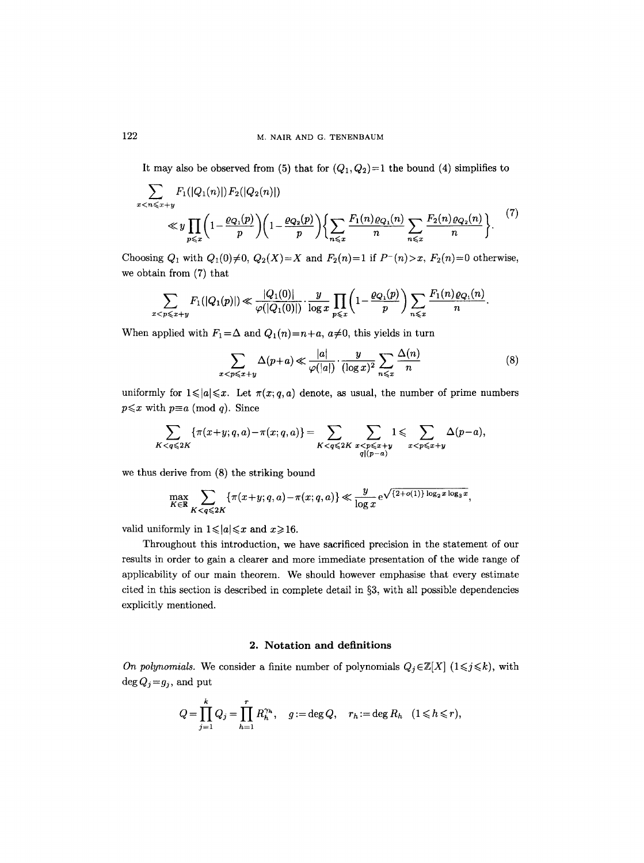It may also be observed from (5) that for  $(Q_1, Q_2) = 1$  the bound (4) simplifies to

$$
\sum_{x < n \leqslant x+y} F_1(|Q_1(n)|) F_2(|Q_2(n)|)
$$
\n
$$
\ll y \prod_{p \leqslant x} \left(1 - \frac{\varrho_{Q_1}(p)}{p}\right) \left(1 - \frac{\varrho_{Q_2}(p)}{p}\right) \left\{\sum_{n \leqslant x} \frac{F_1(n)\varrho_{Q_1}(n)}{n} \sum_{n \leqslant x} \frac{F_2(n)\varrho_{Q_2}(n)}{n}\right\}.
$$
\n<sup>(7)</sup>

Choosing  $Q_1$  with  $Q_1(0) \neq 0$ ,  $Q_2(X) = X$  and  $F_2(n) = 1$  if  $P^-(n) > x$ ,  $F_2(n) = 0$  otherwise, we obtain from (7) that

$$
\sum_{x < p \leqslant x+y} F_1(|Q_1(p)|) \ll \frac{|Q_1(0)|}{\varphi(|Q_1(0)|)} \cdot \frac{y}{\log x} \prod_{p \leqslant x} \left(1 - \frac{\varrho_{Q_1}(p)}{p}\right) \sum_{n \leqslant x} \frac{F_1(n) \varrho_{Q_1}(n)}{n}.
$$

When applied with  $F_1 = \Delta$  and  $Q_1(n) = n+a$ ,  $a \neq 0$ , this yields in turn

$$
\sum_{x < p \leqslant x+y} \Delta(p+a) \ll \frac{|a|}{\varphi(|a|)} \cdot \frac{y}{(\log x)^2} \sum_{n \leqslant x} \frac{\Delta(n)}{n} \tag{8}
$$

uniformly for  $1 \leq a \leq x$ . Let  $\pi(x; q, a)$  denote, as usual, the number of prime numbers  $p \leq x$  with  $p \equiv a \pmod{q}$ . Since

$$
\sum_{K
$$

we thus derive from (8) the striking bound

$$
\max_{K \in \mathbb{R}} \sum_{K < q \leq 2K} \{ \pi(x+y; q, a) - \pi(x; q, a) \} \ll \frac{y}{\log x} e^{\sqrt{\frac{2 + o(1) \log_2 x \log_3 x}{\log x}}},
$$

valid uniformly in  $1 \leq a \leq x$  and  $x \geq 16$ .

Throughout this introduction, we have sacrificed precision in the statement of our results in order to gain a clearer and more immediate presentation of the wide range of applicability of our main theorem. We should however emphasise that every estimate cited in this section is described in complete detail in  $\S3$ , with all possible dependencies explicitly mentioned.

## **2. Notation and definitions**

*On polynomials.* We consider a finite number of polynomials  $Q_j \in \mathbb{Z}[X]$  ( $1 \leq j \leq k$ ), with  $\deg Q_j = g_j$ , and put

$$
Q = \prod_{j=1}^k Q_j = \prod_{h=1}^r R_h^{\gamma_h}, \quad g := \deg Q, \quad r_h := \deg R_h \quad (1 \leq h \leq r),
$$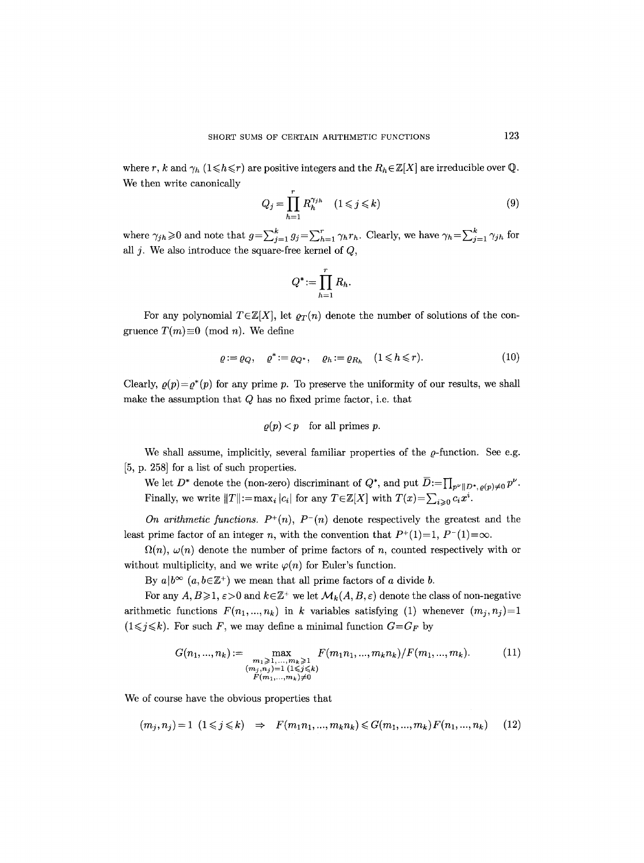where r, k and  $\gamma_h$  (1  $\leq$  h  $\leq$  r) are positive integers and the  $R_h \in \mathbb{Z}[X]$  are irreducible over Q. We then write canonically

$$
Q_j = \prod_{h=1}^r R_h^{\gamma_{jh}} \quad (1 \leqslant j \leqslant k)
$$
\n(9)

where  $\gamma_{jh}\geq 0$  and note that  $g=\sum_{j=1}^k g_j=\sum_{h=1}^r \gamma_h r_h$ . Clearly, we have  $\gamma_h=\sum_{j=1}^k \gamma_{jh}$  for all  $j$ . We also introduce the square-free kernel of  $Q$ ,

$$
Q^* := \prod_{h=1}^r R_h.
$$

For any polynomial  $T \in \mathbb{Z}[X]$ , let  $\rho_T(n)$  denote the number of solutions of the congruence  $T(m) \equiv 0 \pmod{n}$ . We define

$$
\varrho := \varrho_Q, \quad \varrho^* := \varrho_{Q^*}, \quad \varrho_h := \varrho_{R_h} \quad (1 \le h \le r). \tag{10}
$$

Clearly,  $\rho(p) = \rho^*(p)$  for any prime p. To preserve the uniformity of our results, we shall make the assumption that  $Q$  has no fixed prime factor, i.e. that

$$
\varrho(p) < p
$$
 for all primes  $p$ .

We shall assume, implicitly, several familiar properties of the  $\rho$ -function. See e.g. [5, p. 258] for a list of such properties.

We let  $D^*$  denote the (non-zero) discriminant of  $Q^*$ , and put  $\overline{D} := \prod_{p^{\nu}||D^*,\rho(p)\neq 0} p^{\nu}$ . Finally, we write  $||T|| := \max_i |c_i|$  for any  $T \in \mathbb{Z}[X]$  with  $T(x) = \sum_{i>0} c_i x^i$ .

*On arithmetic functions.*  $P^+(n)$ ,  $P^-(n)$  denote respectively the greatest and the least prime factor of an integer n, with the convention that  $P^+(1)=1$ ,  $P^-(1)=\infty$ .

 $\Omega(n)$ ,  $\omega(n)$  denote the number of prime factors of n, counted respectively with or without multiplicity, and we write  $\varphi(n)$  for Euler's function.

By  $a|b^{\infty}$   $(a, b \in \mathbb{Z}^+)$  we mean that all prime factors of a divide b.

For any  $A, B \geq 1, \varepsilon > 0$  and  $k \in \mathbb{Z}^+$  we let  $\mathcal{M}_k(A, B, \varepsilon)$  denote the class of non-negative arithmetic functions  $F(n_1,...,n_k)$  in k variables satisfying (1) whenever  $(m_j,n_j)=1$  $(1 \leq j \leq k)$ . For such F, we may define a minimal function  $G = G_F$  by

$$
G(n_1, ..., n_k) := \max_{\substack{m_1 \geq 1, ..., m_k \geq 1 \\ (m_j, n_j) = 1 \ (1 \leq j \leq k) \\ F(m_1, ..., m_k) \neq 0}} F(m_1 n_1, ..., m_k n_k) / F(m_1, ..., m_k).
$$
 (11)

We of course have the obvious properties that

$$
(m_j, n_j) = 1 \ (1 \leq j \leq k) \Rightarrow F(m_1 n_1, ..., m_k n_k) \leq G(m_1, ..., m_k) F(n_1, ..., n_k) \tag{12}
$$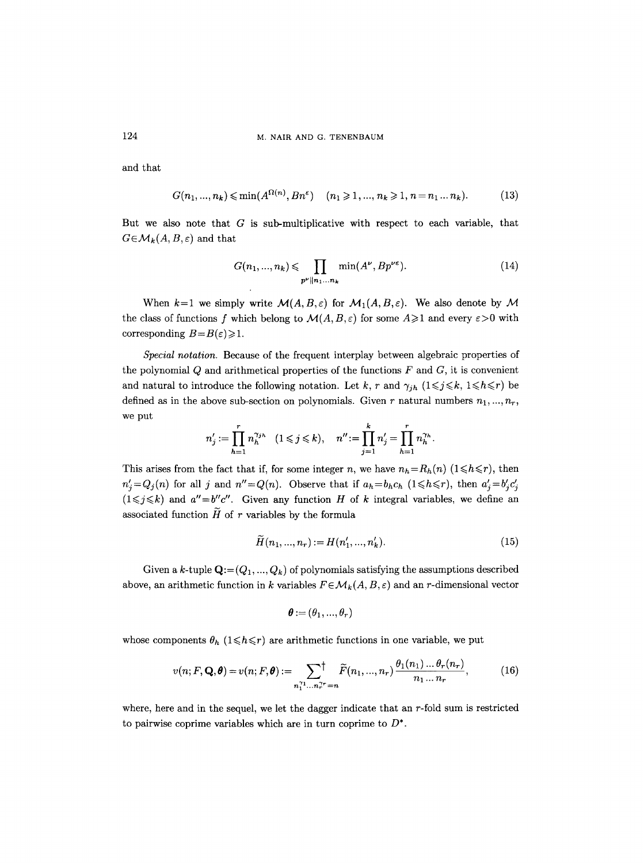124 M. NAIR AND G. TENENBAUM

and that

 $G(n_1, ..., n_k) \leq \min(A^{\Omega(n)}, Bn^{\epsilon}) \quad (n_1 \geq 1, ..., n_k \geq 1, n = n_1...n_k).$  (13)

But we also note that  $G$  is sub-multiplicative with respect to each variable, that  $G \in \mathcal{M}_k(A, B, \varepsilon)$  and that

$$
G(n_1, ..., n_k) \leqslant \prod_{p^{\nu} \parallel n_1 ... n_k} \min(A^{\nu}, Bp^{\nu \varepsilon}). \tag{14}
$$

When  $k=1$  we simply write  $\mathcal{M}(A,B,\varepsilon)$  for  $\mathcal{M}_1(A,B,\varepsilon)$ . We also denote by  $\mathcal M$ the class of functions f which belong to  $\mathcal{M}(A, B, \varepsilon)$  for some  $A \geq 1$  and every  $\varepsilon > 0$  with corresponding  $B=B(\varepsilon)\geqslant 1$ .

*Special notation.* Because of the frequent interplay between algebraic properties of the polynomial  $Q$  and arithmetical properties of the functions  $F$  and  $G$ , it is convenient and natural to introduce the following notation. Let k, r and  $\gamma_{jh}$  ( $1 \leq j \leq k$ ,  $1 \leq h \leq r$ ) be defined as in the above sub-section on polynomials. Given r natural numbers  $n_1, ..., n_r$ , we put

$$
n'_{j} := \prod_{h=1}^{r} n_{h}^{\gamma_{jh}} \quad (1 \leq j \leq k), \quad n'' := \prod_{j=1}^{k} n'_{j} = \prod_{h=1}^{r} n_{h}^{\gamma_{h}}.
$$

This arises from the fact that if, for some integer n, we have  $n_h = R_h(n)$  ( $1 \leq h \leq r$ ), then  $n'_{j} = Q_{j}(n)$  for all j and  $n'' = Q(n)$ . Observe that if  $a_{h} = b_{h}c_{h}$  ( $1 \le h \le r$ ), then  $a'_{j} = b'_{j}c'_{j}$  $(1 \leq j \leq k)$  and  $a''=b''c''$ . Given any function H of k integral variables, we define an associated function  $\widetilde{H}$  of r variables by the formula

$$
H(n_1, ..., n_r) := H(n'_1, ..., n'_k). \tag{15}
$$

Given a k-tuple  $\mathbf{Q}$ := $(Q_1, ..., Q_k)$  of polynomials satisfying the assumptions described above, an arithmetic function in k variables  $F \in \mathcal{M}_k(A, B, \varepsilon)$  and an r-dimensional vector

$$
\boldsymbol{\theta}:=(\theta_1,...,\theta_r)
$$

whose components  $\theta_h$  ( $1 \leq h \leq r$ ) are arithmetic functions in one variable, we put

$$
v(n; F, \mathbf{Q}, \boldsymbol{\theta}) = v(n; F, \boldsymbol{\theta}) := \sum_{n_1^{r_1} \dots n_r^{r_r} = n} \widetilde{F}(n_1, \dots, n_r) \frac{\theta_1(n_1) \dots \theta_r(n_r)}{n_1 \dots n_r},
$$
(16)

where, here and in the sequel, we let the dagger indicate that an  $r$ -fold sum is restricted to pairwise coprime variables which are in turn coprime to  $D^*$ .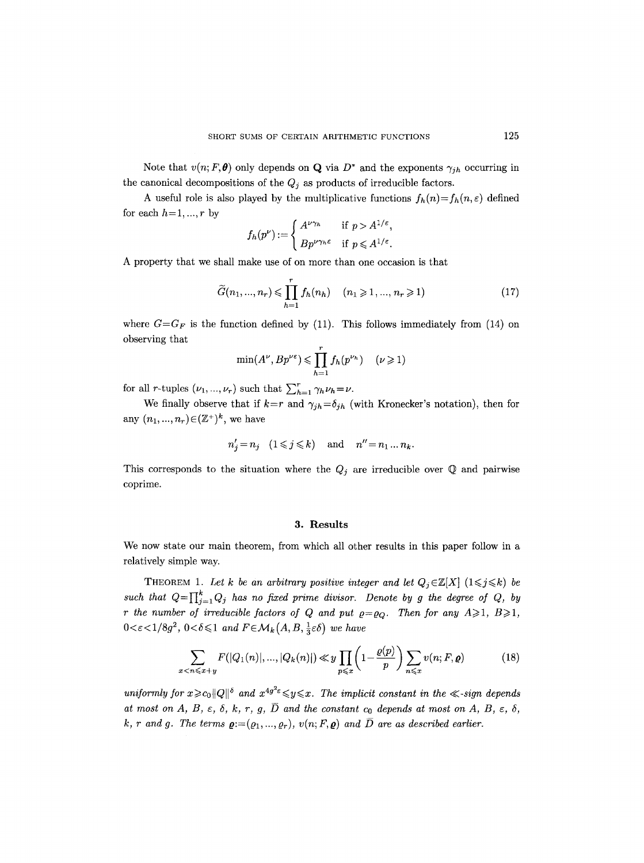Note that  $v(n; F, \theta)$  only depends on **Q** via  $D^*$  and the exponents  $\gamma_{jh}$  occurring in the canonical decompositions of the  $Q_j$  as products of irreducible factors.

A useful role is also played by the multiplicative functions  $f_h(n) = f_h(n, \varepsilon)$  defined for each  $h=1, ..., r$  by

$$
f_h(p^{\nu}) := \begin{cases} A^{\nu \gamma_h} & \text{if } p > A^{1/\varepsilon}, \\ B p^{\nu \gamma_h \varepsilon} & \text{if } p \leq A^{1/\varepsilon}. \end{cases}
$$

A property that we shall make use of on more than one occasion is that

$$
\widetilde{G}(n_1, ..., n_r) \le \prod_{h=1}^r f_h(n_h) \quad (n_1 \ge 1, ..., n_r \ge 1)
$$
\n(17)

where  $G=G_F$  is the function defined by (11). This follows immediately from (14) on observing that

$$
\min(A^{\nu}, Bp^{\nu \varepsilon}) \leq \prod_{h=1}^{n} f_h(p^{\nu_h}) \quad (\nu \geq 1)
$$

for all *r*-tuples  $(\nu_1, ..., \nu_r)$  such that  $\sum_{h=1}^r \gamma_h \nu_h = \nu$ .

We finally observe that if  $k=r$  and  $\gamma_{jh}=\delta_{jh}$  (with Kronecker's notation), then for any  $(n_1, ..., n_r) \in (\mathbb{Z}^+)^k$ , we have

$$
n'_j = n_j \quad (1 \leqslant j \leqslant k) \quad \text{and} \quad n'' = n_1 \dots n_k.
$$

This corresponds to the situation where the  $Q_j$  are irreducible over  $\mathbb Q$  and pairwise coprime.

#### **3. Results**

We now state our main theorem, from which all other results in this paper follow in a relatively simple way.

THEOREM 1. Let k be an arbitrary positive integer and let  $Q_j \in \mathbb{Z}[X]$  ( $1 \leq j \leq k$ ) be such that  $Q=\prod_{j=1}^k Q_j$  has no fixed prime divisor. Denote by g the degree of Q, by *r* the number of irreducible factors of Q and put  $\rho = \rho_Q$ . Then for any  $A \geq 1$ ,  $B \geq 1$ ,  $0 < \varepsilon < 1/8g^2$ ,  $0 < \delta \leq 1$  and  $F \in \mathcal{M}_k(A, B, \frac{1}{3}\varepsilon\delta)$  we have

$$
\sum_{x < n \leq x+y} F(|Q_1(n)|, \dots, |Q_k(n)|) \ll y \prod_{p \leq x} \left(1 - \frac{\varrho(p)}{p}\right) \sum_{n \leq x} v(n; F, \varrho) \tag{18}
$$

*uniformly for*  $x \ge c_0 ||Q||^{\delta}$  *and*  $x^{4g^2 \epsilon} \le y \le x$ *. The implicit constant in the*  $\ll$ *-sign depends at most on A, B,*  $\varepsilon$ *,*  $\delta$ *, k, r, g,*  $\overline{D}$  *and the constant c<sub>0</sub> depends at most on A, B,*  $\varepsilon$ *,*  $\delta$ *, k, r and g. The terms*  $\mathbf{g}:=(\varrho_1,...,\varrho_r), v(n;F,\mathbf{g})$  and  $\overline{D}$  are as described earlier.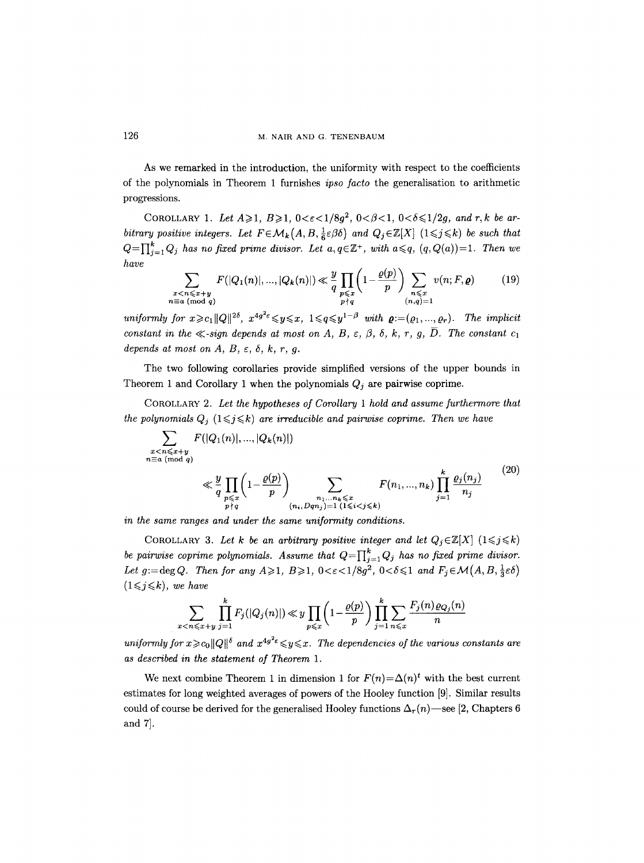As we remarked in the introduction, the uniformity with respect to the coefficients of the polynomials in Theorem 1 furnishes *ipso facto* the generalisation to arithmetic progressions.

COROLLARY 1. Let  $A \ge 1$ ,  $B \ge 1$ ,  $0 < \varepsilon < 1/8g^2$ ,  $0 < \beta < 1$ ,  $0 < \delta \le 1/2g$ , and r, k be ar*bitrary positive integers. Let*  $F \in \mathcal{M}_k(A, B, \frac{1}{6} \varepsilon \beta \delta)$  and  $Q_j \in \mathbb{Z}[X]$  ( $1 \leq j \leq k$ ) *be such that*  $Q=\prod_{i=1}^k Q_i$  has no fixed prime divisor. Let  $a, q \in \mathbb{Z}^+$ , with  $a \leqslant q$ ,  $(q, Q(a))=1$ . Then we *have* 

$$
\sum_{\substack{x < n \leqslant x+y \\ n \equiv a \pmod{q}}} F(|Q_1(n)|, \dots, |Q_k(n)|) \ll \frac{y}{q} \prod_{\substack{p \leqslant x \\ p \nmid q}} \left(1 - \frac{\varrho(p)}{p}\right) \sum_{\substack{n \leqslant x \\ (n,q)=1}} v(n; F, \varrho) \tag{19}
$$

*uniformly for*  $x \ge c_1 ||Q||^{2\delta}$ ,  $x^{4g^2 \epsilon} \le y \le x$ ,  $1 \le q \le y^{1-\beta}$  *with*  $\boldsymbol{\varrho}:=(\varrho_1,...,\varrho_r)$ . The *implicit constant in the*  $\ll$ *-sign depends at most on A, B,*  $\varepsilon$ *,*  $\beta$ *,*  $\delta$ *, k, r, g,*  $\overline{D}$ *. The constant c<sub>1</sub> depends at most on A, B,*  $\varepsilon$ *,*  $\delta$ *, k, r, g.* 

The two following corollaries provide simplified versions of the upper bounds in Theorem 1 and Corollary 1 when the polynomials  $Q_j$  are pairwise coprime.

COROLLARY 2. *Let the hypotheses of Corollary 1 hold and assume furthermore that the polynomials*  $Q_i$  *(* $1 \leq j \leq k$ *) are irreducible and pairwise coprime. Then we have* 

$$
\sum_{\substack{x < n \leq x+y \\ n \equiv a \pmod{q}}} F(|Q_1(n)|, \dots, |Q_k(n)|) \leq \frac{y}{q} \prod_{\substack{p \leq x \\ p \nmid q}} \left(1 - \frac{\varrho(p)}{p}\right) \sum_{\substack{n_1 \dots n_k \leq x \\ (n_i, Dqn_j) = 1 \ (1 \leq i < j \leq k)}} F(n_1, \dots, n_k) \prod_{j=1}^k \frac{\varrho_j(n_j)}{n_j} \tag{20}
$$

*in the same ranges and under the same uniformity conditions.* 

COROLLARY 3. Let k be an arbitrary positive integer and let  $Q_j \in \mathbb{Z}[X]$   $(1 \leq j \leq k)$ *be pairwise coprime polynomials. Assume that*  $Q = \prod_{j=1}^{k} Q_j$  *has no fixed prime divisor.* Let  $g:=\deg Q$ . Then for any  $A\geqslant 1$ ,  $B\geqslant 1$ ,  $0<\varepsilon<1/8g^2$ ,  $0<\delta\leqslant 1$  and  $F_j\in\mathcal{M}(A,B,\frac{1}{3}\varepsilon\delta)$  $(1 \leq j \leq k)$ , we have

$$
\sum_{x < n \leqslant x+y} \prod_{j=1}^k F_j(|Q_j(n)|) \ll y \prod_{p \leqslant x} \left(1 - \frac{\varrho(p)}{p}\right) \prod_{j=1}^k \sum_{n \leqslant x} \frac{F_j(n)\varrho_{Q_j}(n)}{n}
$$

*uniformly for*  $x \ge c_0 ||Q||^{\delta}$  and  $x^{4g^2 \epsilon} \le y \le x$ . The dependencies of the various constants are *as described in the statement of Theorem 1.* 

We next combine Theorem 1 in dimension 1 for  $F(n) = \Delta(n)^t$  with the best current estimates for long weighted averages of powers of the Hooley function [9]. Similar results could of course be derived for the generalised Hooley functions  $\Delta_r(n)$ —see [2, Chapters 6] and 7].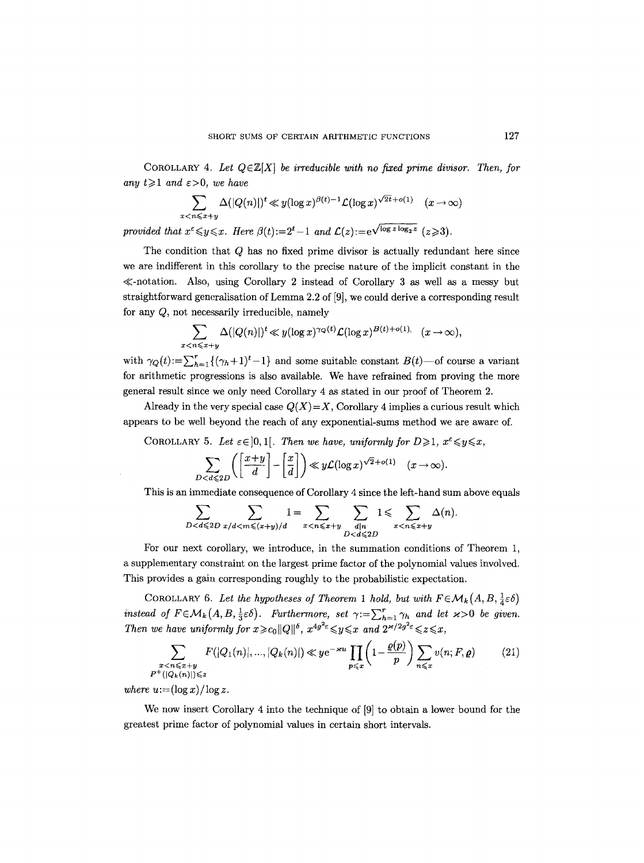COROLLARY 4. Let  $Q \in \mathbb{Z}[X]$  *be irreducible with no fixed prime divisor. Then, for* any  $t \geq 1$  and  $\varepsilon > 0$ , we have

$$
\sum_{x < n \leqslant x+y} \Delta(|Q(n)|)^t \ll y(\log x)^{\beta(t)-1} \mathcal{L}(\log x)^{\sqrt{2t} + o(1)} \quad (x \to \infty)
$$

provided that  $x^{\epsilon} \leq y \leq x$ . Here  $\beta(t) := 2^{t}-1$  and  $\mathcal{L}(z) := e^{\sqrt{\log z \log_2 z}}$   $(z \geq 3)$ .

The condition that Q has no fixed prime divisor is actually redundant here since we are indifferent in this corollary to the precise nature of the implicit constant in the  $\ll$ -notation. Also, using Corollary 2 instead of Corollary 3 as well as a messy but straightforward generalisation of Lemma 2.2 of [9], we could derive a corresponding result for any Q, not necessarily irreducible, namely

$$
\sum_{x < n \leqslant x+y} \Delta(|Q(n)|)^t \ll y(\log x)^{\gamma_Q(t)} \mathcal{L}(\log x)^{B(t)+o(1)} \quad (x \to \infty),
$$

with  $\gamma_Q(t) := \sum_{h=1}^r \{ (\gamma_h + 1)^t - 1 \}$  and some suitable constant  $B(t)$ —of course a variant for arithmetic progressions is also available. We have refrained from proving the more general result since we only need Corollary 4 as stated in our proof of Theorem 2.

Already in the very special case  $Q(X)=X$ , Corollary 4 implies a curious result which appears to be well beyond the reach of any exponential-sums method we are aware of.

COROLLARY 5. Let  $\varepsilon \in ]0,1[$ . Then we have, uniformly for  $D \geq 1$ ,  $x^{\varepsilon} \leq y \leq x$ ,

$$
\sum_{D < d \leqslant 2D} \left( \left[ \frac{x+y}{d} \right] - \left[ \frac{x}{d} \right] \right) \ll y \mathcal{L}(\log x)^{\sqrt{2} + o(1)} \quad (x \to \infty)
$$

This is an immediate consequence of Corollary 4 since the left-hand sum above equals

$$
\sum_{D < d \leqslant 2D} \sum_{x/d < m \leqslant (x+y)/d} 1 = \sum_{x < n \leqslant x+y} \sum_{\substack{d|n \\ D < d \leqslant 2D}} 1 \leqslant \sum_{x < n \leqslant x+y} \Delta(n).
$$

For our next corollary, we introduce, in the summation conditions of Theorem 1, a supplementary constraint on the largest prime factor of the polynomial values involved. This provides a gain corresponding roughly to the probabilistic expectation.

COROLLARY 6. Let the hypotheses of Theorem 1 hold, but with  $F \in \mathcal{M}_k(A, B, \frac{1}{4} \varepsilon \delta)$ *instead of F* $\in \mathcal{M}_k(A, B, \frac{1}{3}\varepsilon\delta)$ . Furthermore, set  $\gamma := \sum_{h=1}^r \gamma_h$  and let  $\varkappa > 0$  be given. *Then we have uniformly for*  $x \ge c_0 ||Q||^{\delta}$ *,*  $x^{4g^2 \epsilon} \le y \le x$  *and*  $2^{x/2g^2 \epsilon} \le z \le x$ *,* 

$$
\sum_{\substack{x < n \leqslant x+y \\ P^+(|Q_k(n)|) \leqslant z}} F(|Q_1(n)|, \dots, |Q_k(n)|) \ll y e^{-\varkappa u} \prod_{p \leqslant x} \left(1 - \frac{\varrho(p)}{p}\right) \sum_{n \leqslant x} v(n; F, \varrho) \tag{21}
$$

*where*  $u := (\log x)/\log z$ .

We now insert Corollary 4 into the technique of [9] to obtain a lower bound for the greatest prime factor of polynomial values in certain short intervals.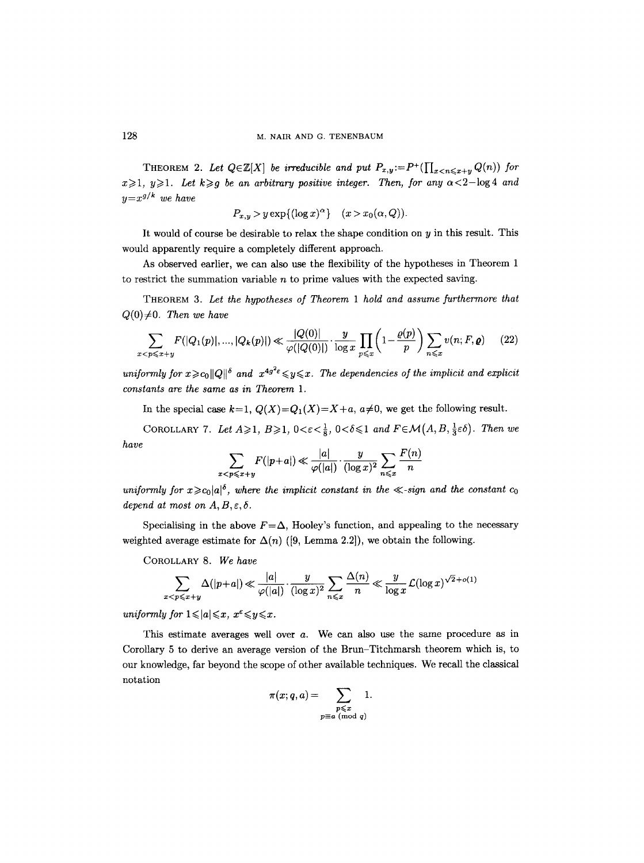THEOREM 2. Let  $Q \in \mathbb{Z}[X]$  be irreducible and put  $P_{x,y} := P^+(\prod_{x < n \leq x+y} Q(n))$  for  $x \geq 1$ ,  $y \geq 1$ . Let  $k \geq g$  be an arbitrary positive integer. Then, for any  $\alpha < 2$ -log 4 and  $y=x^{g/k}$  we have

$$
P_{x,y} > y \exp\{(\log x)^{\alpha}\} \quad (x > x_0(\alpha, Q)).
$$

It would of course be desirable to relax the shape condition on  $y$  in this result. This would apparently require a completely different approach.

As observed earlier, we can also use the flexibility of the hypotheses in Theorem 1 to restrict the summation variable  $n$  to prime values with the expected saving.

THEOREM 3. *Let the hypotheses of Theorem 1 hold and assume furthermore that*   $Q(0)\neq 0$ . Then we have

$$
\sum_{x < p \leqslant x+y} F(|Q_1(p)|, \dots, |Q_k(p)|) \ll \frac{|Q(0)|}{\varphi(|Q(0)|)} \cdot \frac{y}{\log x} \prod_{p \leqslant x} \left(1 - \frac{\varrho(p)}{p}\right) \sum_{n \leqslant x} v(n; F, \varrho) \tag{22}
$$

*uniformly for*  $x \ge c_0 ||Q||^{\delta}$  *and*  $x^{4g^2 \epsilon} \le y \le x$ . The dependencies of the implicit and explicit *constants are the same as in Theorem 1.* 

In the special case  $k=1$ ,  $Q(X)=Q_1(X)=X+a$ ,  $a\neq 0$ , we get the following result.

COROLLARY 7. Let  $A \geqslant 1$ ,  $B \geqslant 1$ ,  $0 < \varepsilon < \frac{1}{8}$ ,  $0 < \delta \leqslant 1$  and  $F \in \mathcal{M}(A, B, \frac{1}{3}\varepsilon\delta)$ . Then we *have* 

$$
\sum_{x < p \leqslant x+y} F(|p+a|) \ll \frac{|a|}{\varphi(|a|)} \cdot \frac{y}{(\log x)^2} \sum_{n \leqslant x} \frac{F(n)}{n}
$$

*uniformly for*  $x \ge c_0 |a|^6$ *, where the implicit constant in the*  $\ll$ *-sign and the constant*  $c_0$ *depend at most on*  $A, B, \varepsilon, \delta$ *.* 

Specialising in the above  $F = \Delta$ , Hooley's function, and appealing to the necessary weighted average estimate for  $\Delta(n)$  ([9, Lemma 2.2]), we obtain the following.

COROLLARY 8. *We have* 

$$
\sum_{x < p \leqslant x+y} \Delta(|p+a|) \ll \frac{|a|}{\varphi(|a|)} \cdot \frac{y}{(\log x)^2} \sum_{n \leqslant x} \frac{\Delta(n)}{n} \ll \frac{y}{\log x} \mathcal{L}(\log x)^{\sqrt{2} + o(1)}
$$

*uniformly for*  $1 \leqslant |a| \leqslant x$ ,  $x^{\varepsilon} \leqslant y \leqslant x$ .

This estimate averages well over a. We can also use the same procedure as in Corollary 5 to derive an average version of the Brun-Titchmarsh theorem which is, to our knowledge, far beyond the scope of other available techniques. We recall the classical notation

$$
\pi(x;q,a) = \sum_{\substack{p \leqslant x \\ p \equiv a \pmod q}} 1.
$$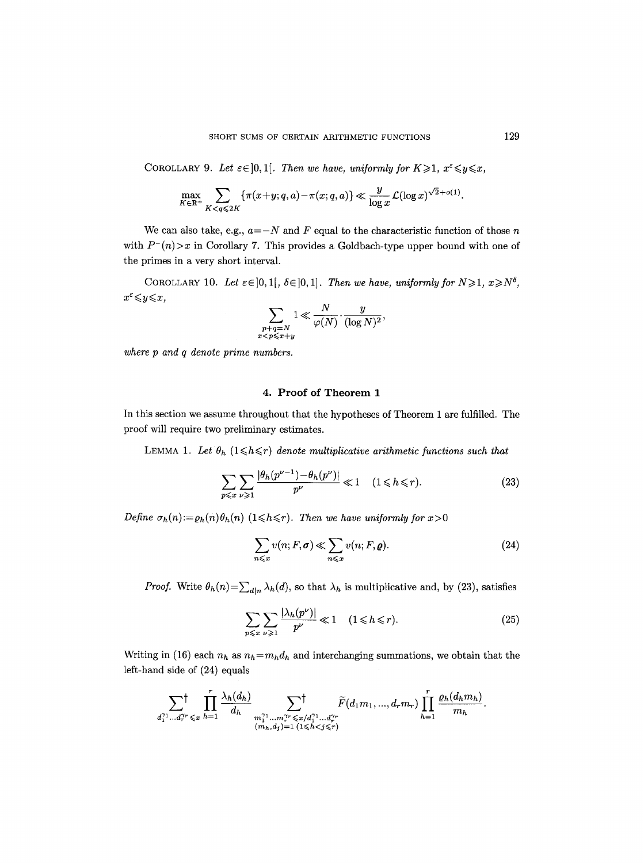COROLLARY 9. Let  $\varepsilon \in ]0,1[$ . Then we have, uniformly for  $K \geq 1$ ,  $x^{\varepsilon} \leq y \leq x$ ,

$$
\max_{K\in\mathbb{R}^+}\sum_{K\leq q\leqslant 2K}\left\{\pi(x+y;q,a)-\pi(x;q,a)\right\}\ll \frac{y}{\log x}\mathcal{L}(\log x)^{\sqrt{2}+o(1)}.
$$

We can also take, e.g.,  $a = -N$  and F equal to the characteristic function of those n with  $P^-(n) > x$  in Corollary 7. This provides a Goldbach-type upper bound with one of the primes in a very short interval.

COROLLARY 10. Let  $\varepsilon \in ]0,1[, \delta \in ]0,1]$ . Then we have, uniformly for  $N \geq 1, x \geq N^{\delta}$ ,  $x^{\varepsilon} \leqslant y \leqslant x$ ,

$$
\sum_{\substack{p+q=N\\x
$$

*where p and q denote prime numbers.* 

### 4. Proof of Theorem 1

In this section we assume throughout that the hypotheses of Theorem 1 are fulfilled. The proof will require two preliminary estimates.

LEMMA 1. Let  $\theta_h$  ( $1 \leq h \leq r$ ) denote multiplicative arithmetic functions such that

$$
\sum_{p\leqslant x}\sum_{\nu\geqslant 1}\frac{|\theta_h(p^{\nu-1})-\theta_h(p^{\nu})|}{p^{\nu}}\ll 1 \quad (1\leqslant h\leqslant r). \tag{23}
$$

*Define*  $\sigma_h(n):=o_h(n)\theta_h(n)$  (1 $\leq h \leq r$ ). *Then we have uniformly for*  $x>0$ 

$$
\sum_{n \leq x} v(n; F, \sigma) \ll \sum_{n \leq x} v(n; F, \rho).
$$
 (24)

*Proof.* Write  $\theta_h(n) = \sum_{d|n} \lambda_h(d)$ , so that  $\lambda_h$  is multiplicative and, by (23), satisfies

$$
\sum_{p \leq x} \sum_{\nu \geq 1} \frac{|\lambda_h(p^{\nu})|}{p^{\nu}} \ll 1 \quad (1 \leq h \leq r). \tag{25}
$$

Writing in (16) each  $n_h$  as  $n_h=m_hd_h$  and interchanging summations, we obtain that the left-hand side of (24) equals

$$
\sum_{d_1^{r_1}\dots d_r^{r_r} \leqslant x} \prod_{h=1}^r \frac{\lambda_h(d_h)}{d_h} \sum_{\substack{m_1^{r_1}\dots m_r^{r_r} \leqslant x/d_1^{r_1}\dots d_r^{r_r} \\ (m_h,d_j)=1}} \widetilde{F}(d_1m_1,...,d_rm_r) \prod_{h=1}^r \frac{\varrho_h(d_hm_h)}{m_h}.
$$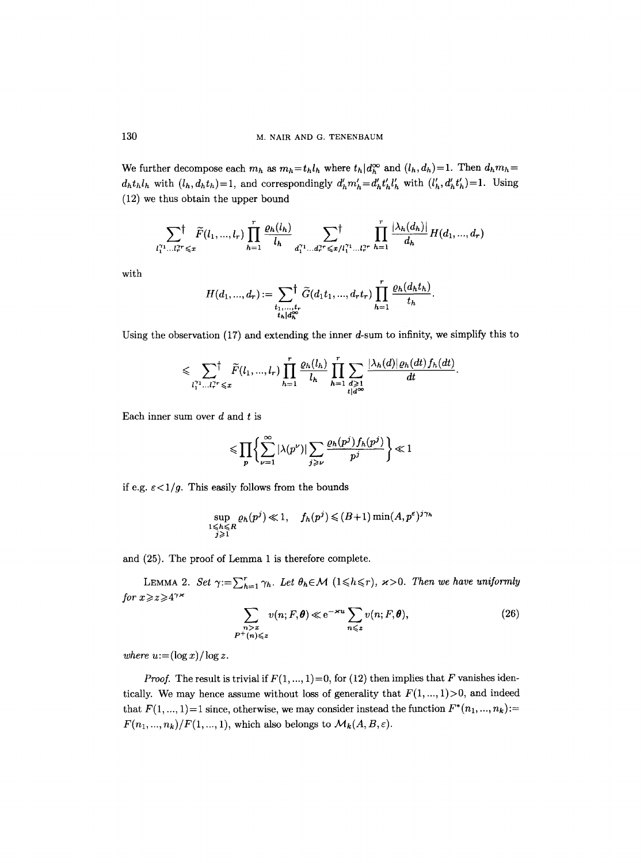We further decompose each  $m_h$  as  $m_h=t_h l_h$  where  $t_h|d_h^{\infty}$  and  $(l_h, d_h)=1$ . Then  $d_h m_h=$  $d_h t_h l_h$  with  $(l_h, d_h t_h) = 1$ , and correspondingly  $d'_h m'_h = d'_h t'_h l'_h$  with  $(l'_h, d'_h t'_h) = 1$ . Using (12) we thus obtain the upper bound

$$
\sum_{l_1^{\gamma_1}\dots l_r^{\gamma_r}\leqslant x}\tilde{F}(l_1,\dots,l_r)\prod_{h=1}^r\frac{\varrho_h(l_h)}{l_h}\sum_{d_1^{\gamma_1}\dots d_r^{\gamma_r}\leqslant x/l_1^{\gamma_1}\dots l_r^{\gamma_r}}\prod_{h=1}^r\frac{|\lambda_h(d_h)|}{d_h}H(d_1,\dots,d_r)
$$

with

$$
H(d_1, ..., d_r) := \sum_{\substack{t_1, ..., t_r \\ t_h | d_h^{\infty}}} \tilde{G}(d_1 t_1, ..., d_r t_r) \prod_{h=1}^r \frac{\varrho_h(d_h t_h)}{t_h}.
$$

Using the observation  $(17)$  and extending the inner d-sum to infinity, we simplify this to

$$
\leqslant \sum_{l_1^{\gamma_1} \dots l_r^{\gamma_r} \leqslant x} \tilde{F}(l_1, ..., l_r) \prod_{h=1}^r \frac{\varrho_h(l_h)}{l_h} \prod_{h=1}^r \sum_{\substack{d \geqslant 1 \\ t \mid d^{\infty}}} \frac{|\lambda_h(d)| \varrho_h(dt) f_h(dt)}{dt}.
$$

Each inner sum over  $d$  and  $t$  is

$$
\leqslant \prod_{p}\bigg\{\sum_{\nu=1}^{\infty}|\lambda(p^{\nu})|\sum_{j\geqslant\nu}\frac{\varrho_h(p^j)f_h(p^j)}{p^j}\bigg\}\ll 1
$$

if e.g.  $\varepsilon < 1/g$ . This easily follows from the bounds

$$
\sup_{\substack{1 \le h \le R \\ j \ge 1}} \varrho_h(p^j) \ll 1, \quad f_h(p^j) \le (B+1) \min(A, p^{\varepsilon})^{j \gamma_h}
$$

and (25). The proof of Lemma 1 is therefore complete.

LEMMA 2. *Set*  $\gamma := \sum_{h=1}^r \gamma_h$ . Let  $\theta_h \in \mathcal{M}$   $(1 \leq h \leq r)$ ,  $\kappa > 0$ . Then we have uniformly *for*  $x \ge z \ge 4^{\gamma x}$ 

$$
\sum_{\substack{n>x\\P^+(n)\leqslant z}} v(n;F,\theta) \ll e^{-\varkappa u} \sum_{n\leqslant z} v(n;F,\theta),\tag{26}
$$

*where*  $u:=(\log x)/\log z$ .

*Proof.* The result is trivial if  $F(1, ..., 1) = 0$ , for (12) then implies that F vanishes identically. We may hence assume without loss of generality that  $F(1, ..., 1) > 0$ , and indeed that  $F(1, ..., 1) = 1$  since, otherwise, we may consider instead the function  $F^*(n_1, ..., n_k) :=$  $F(n_1, ..., n_k)/F(1, ..., 1)$ , which also belongs to  $\mathcal{M}_k(A, B, \varepsilon)$ .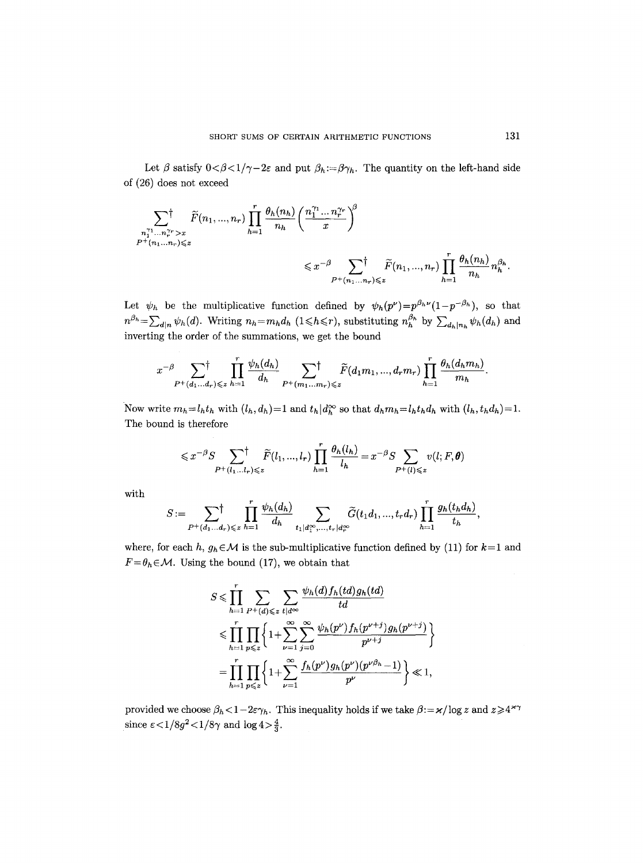Let  $\beta$  satisfy  $0<\beta<1/\gamma-2\varepsilon$  and put  $\beta_h:=\beta\gamma_h$ . The quantity on the left-hand side of (26) does not exceed

$$
\sum_{\substack{n_1^{\gamma_1} \dots n_r^{\gamma_r} > x \\ P^+(n_1, \dots, n_r) \leq z}} \tilde{F}(n_1, \dots, n_r) \prod_{h=1}^r \frac{\theta_h(n_h)}{n_h} \left( \frac{n_1^{\gamma_1} \dots n_r^{\gamma_r}}{x} \right)^{\beta}
$$
\n
$$
\leq x^{-\beta} \sum_{P^+(n_1, \dots, n_r) \leq z} \tilde{F}(n_1, \dots, n_r) \prod_{h=1}^r \frac{\theta_h(n_h)}{n_h} n_h^{\beta_h}.
$$

Let  $\psi_h$  be the multiplicative function defined by  $\psi_h(p^{\nu})=p^{\beta_h\nu}(1-p^{-\beta_h})$ , so that  $n^{\beta_h} = \sum_{d|n} \psi_h(d)$ . Writing  $n_h = m_h d_h$  (1 \le h\langhar), substituting  $n_h^{\beta_h}$  by  $\sum_{d_h|n_h} \psi_h(d_h)$  and inverting the order of the summations, we get the bound

$$
x^{-\beta}\sum_{P^+(d_1\ldots d_r)\leqslant z}\prod_{h=1}^r\frac{\psi_h(d_h)}{d_h}\sum_{P^+(m_1\ldots m_r)\leqslant z}\tilde{F}(d_1m_1,\ldots,d_rm_r)\prod_{h=1}^r\frac{\theta_h(d_hm_h)}{m_h}.
$$

Now write  $m_h = l_h t_h$  with  $(l_h, d_h) = 1$  and  $t_h | d_h^{\infty}$  so that  $d_h m_h = l_h t_h d_h$  with  $(l_h, t_h d_h) = 1$ . The bound is therefore

$$
\leqslant x^{-\beta} S \sum_{P^+(l_1...l_r)\leqslant z} \tilde{F}(l_1,...,l_r) \prod_{h=1}^r \frac{\theta_h(l_h)}{l_h} = x^{-\beta} S \sum_{P^+(l)\leqslant z} v(l;F,\boldsymbol{\theta})
$$

with

$$
S:=\sum_{P^+(d_1...d_r)\leqslant z}\prod_{h=1}^r\frac{\psi_h(d_h)}{d_h}\sum_{t_1|d_1^\infty,...,t_r|d_r^\infty}\widetilde{G}(t_1d_1,...,t_rd_r)\prod_{h=1}^r\frac{g_h(t_hd_h)}{t_h},
$$

where, for each *h*,  $g_h \in \mathcal{M}$  is the sub-multiplicative function defined by (11) for  $k=1$  and  $F = \theta_h \in \mathcal{M}$ . Using the bound (17), we obtain that

$$
S \leqslant \prod_{h=1}^{r} \sum_{P^+(d) \leqslant z} \sum_{t | d^{\infty}} \frac{\psi_h(d) f_h(td) g_h(td)}{td}
$$
  
 
$$
\leqslant \prod_{h=1}^{r} \prod_{p \leqslant z} \left\{ 1 + \sum_{\nu=1}^{\infty} \sum_{j=0}^{\infty} \frac{\psi_h(p^{\nu}) f_h(p^{\nu+j}) g_h(p^{\nu+j})}{p^{\nu+j}} \right\}
$$
  
\n
$$
= \prod_{h=1}^{r} \prod_{p \leqslant z} \left\{ 1 + \sum_{\nu=1}^{\infty} \frac{f_h(p^{\nu}) g_h(p^{\nu}) (p^{\nu \beta_h} - 1)}{p^{\nu}} \right\} \ll 1,
$$

provided we choose  $\beta_h < 1- 2\varepsilon \gamma_h$ . This inequality holds if we take  $\beta = \varkappa / \log z$  and  $z \geqslant 4^{\varkappa \gamma}$ since  $\epsilon < 1/8g^2 < 1/8\gamma$  and  $\log 4 > \frac{4}{3}$ .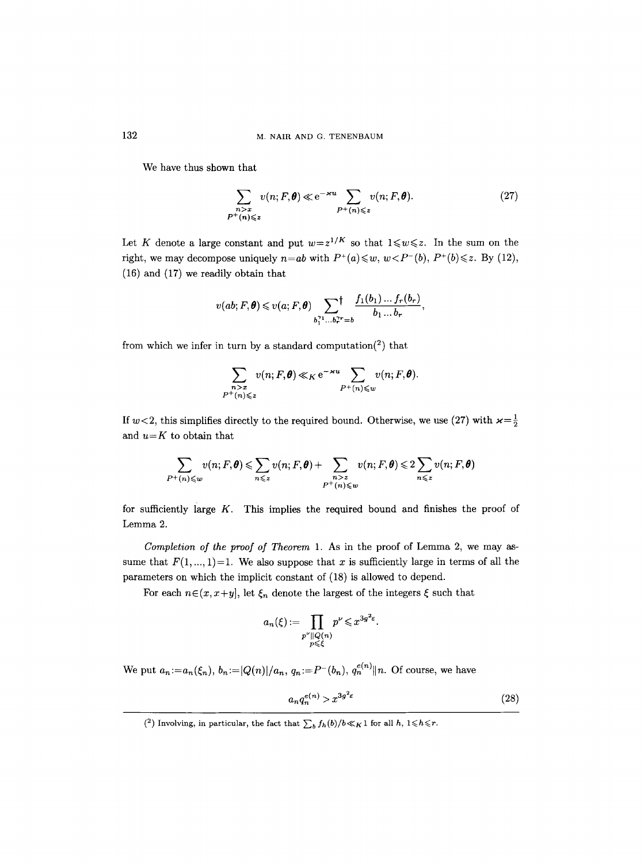We have thus shown that

$$
\sum_{\substack{n>x \ p^+(n)\leqslant z}} v(n; F, \theta) \ll e^{-\varkappa u} \sum_{P^+(n)\leqslant z} v(n; F, \theta). \tag{27}
$$

Let K denote a large constant and put  $w=z^{1/K}$  so that  $1\leq w\leq z$ . In the sum on the right, we may decompose uniquely  $n=ab$  with  $P^+(a) \leq w$ ,  $w < P^-(b)$ ,  $P^+(b) \leq z$ . By (12), (16) and (17) we readily obtain that

$$
v(ab; F, \theta) \leqslant v(a; F, \theta) \sum_{b_1^{r_1} \dots b_r^{r_r} = b} \frac{f_1(b_1) \dots f_r(b_r)}{b_1 \dots b_r},
$$

from which we infer in turn by a standard computation<sup>(2)</sup> that

$$
\sum_{\substack{n>x \ p^+(n)\leqslant z}} v(n; F, \theta) \ll_K e^{-xu} \sum_{P^+(n)\leqslant w} v(n; F, \theta).
$$

If  $w < 2$ , this simplifies directly to the required bound. Otherwise, we use (27) with  $\varkappa = \frac{1}{2}$ and *u=K* to obtain that

$$
\sum_{P^+(n)\leqslant w}v(n;F,\pmb\theta)\leqslant \sum_{n\leqslant z}v(n;F,\pmb\theta)+\sum_{\substack{n>z\\P^+(n)\leqslant w}}v(n;F,\pmb\theta)\leqslant 2\sum_{n\leqslant z}v(n;F,\pmb\theta)
$$

for sufficiently large  $K$ . This implies the required bound and finishes the proof of Lemma 2.

*Completion of the proof of Theorem* 1. As in the proof of Lemma 2, we may assume that  $F(1, ..., 1)=1$ . We also suppose that x is sufficiently large in terms of all the parameters on which the implicit constant of (18) is allowed to depend.

For each  $n \in (x, x+y]$ , let  $\xi_n$  denote the largest of the integers  $\xi$  such that

$$
a_n(\xi) := \prod_{\substack{p^{\nu} \parallel Q(n) \\ p \leq \xi}} p^{\nu} \leq x^{3g^2 \varepsilon}.
$$

We put  $a_n := a_n(\xi_n)$ ,  $b_n := |Q(n)|/a_n$ ,  $q_n := P^-(b_n)$ ,  $q_n^{e(n)}||n$ . Of course, we have

$$
a_n q_n^{e(n)} > x^{3g^2 \varepsilon} \tag{28}
$$

<sup>(&</sup>lt;sup>2</sup>) Involving, in particular, the fact that  $\sum_b f_h(b)/b \ll_K 1$  for all  $h, 1 \leq h \leq r$ .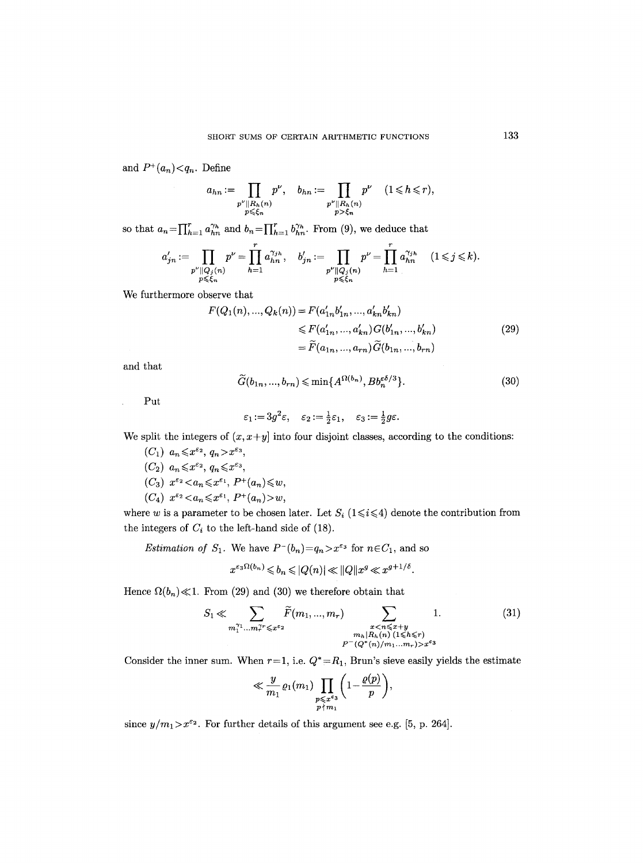and  $P^+(a_n) < q_n$ . Define

$$
a_{hn} := \prod_{\substack{p^{\nu} \parallel R_h(n) \\ p \leq \xi_n}} p^{\nu}, \quad b_{hn} := \prod_{\substack{p^{\nu} \parallel R_h(n) \\ p > \xi_n}} p^{\nu} \quad (1 \leq h \leq r),
$$

so that  $a_n = \prod_{h=1}^r a_{hn}^{\gamma_h}$  and  $b_n = \prod_{h=1}^r b_{hn}^{\gamma_h}$ . From (9), we deduce that

$$
a'_{jn} := \prod_{\substack{p^{\nu} \parallel Q_j(n) \\ p \leq \xi_n}} p^{\nu} = \prod_{h=1}^r a_{hn}^{\gamma_{jh}}, \quad b'_{jn} := \prod_{\substack{p^{\nu} \parallel Q_j(n) \\ p \leq \xi_n}} p^{\nu} = \prod_{h=1}^r a_{hn}^{\gamma_{jh}} \quad (1 \leq j \leq k).
$$

We furthermore observe that

$$
F(Q_1(n), ..., Q_k(n)) = F(a'_{1n}b'_{1n}, ..., a'_{kn}b'_{kn})
$$
  
\n
$$
\leq F(a'_{1n}, ..., a'_{kn}) G(b'_{1n}, ..., b'_{kn})
$$
  
\n
$$
= \widetilde{F}(a_{1n}, ..., a_{rn}) \widetilde{G}(b_{1n}, ..., b_{rn})
$$
\n(29)

and that

$$
\widetilde{G}(b_{1n},...,b_{rn}) \leqslant \min\{A^{\Omega(b_n)}, Bb_n^{\varepsilon\delta/3}\}.
$$
\n(30)

Put

$$
\varepsilon_1\!:=\!3g^2\varepsilon,\quad \varepsilon_2\!:=\!\tfrac12\varepsilon_1,\quad \varepsilon_3\!:=\!\tfrac12g\varepsilon.
$$

We split the integers of  $(x, x+y)$  into four disjoint classes, according to the conditions:

 $(C_1)$   $a_n \leqslant x^{\varepsilon_2}$ ,  $q_n > x^{\varepsilon_3}$ ,  $(C_2)$   $a_n \leq x^{\varepsilon_2}$ ,  $q_n \leq x^{\varepsilon_3}$ ,  $(C_3)$   $x^{\varepsilon_2} < a_n \leq x^{\varepsilon_1}$ ,  $P^+(a_n) \leq w$ ,  $(C_4)$   $x^{\varepsilon_2} < a_n \leq x^{\varepsilon_1}$ ,  $P^+(a_n) > w$ ,

where w is a parameter to be chosen later. Let  $S_i$  (1 $\leq i \leq 4$ ) denote the contribution from the integers of  $C_i$  to the left-hand side of (18).

*Estimation of*  $S_1$ . We have  $P^-(b_n)=q_n > x^{\varepsilon_3}$  for  $n \in C_1$ , and so

$$
x^{\varepsilon_3\Omega(b_n)} \leqslant b_n \leqslant |Q(n)| \ll ||Q||x^g \ll x^{g+1/\delta}.
$$

Hence  $\Omega(b_n) \ll 1$ . From (29) and (30) we therefore obtain that

$$
S_1 \ll \sum_{m_1^{\gamma_1} \dots m_r^{\gamma_r} \leq x^{\varepsilon_2}} \tilde{F}(m_1, ..., m_r) \sum_{\substack{x < n \leq x+y \\ m_h | R_h(n) \ (1 \leq h \leq r) \\ P^-(Q^*(n)/m_1 ... m_r) > x^{\varepsilon_3}}} 1. \tag{31}
$$

Consider the inner sum. When  $r=1$ , i.e.  $Q^* = R_1$ , Brun's sieve easily yields the estimate

$$
\ll \frac{y}{m_1} \varrho_1(m_1) \prod_{\substack{p \leqslant x^{\varepsilon_3} \\ p \nmid m_1}} \left(1 - \frac{\varrho(p)}{p}\right),
$$

since  $y/m_1 > x^{\varepsilon_2}$ . For further details of this argument see e.g. [5, p. 264].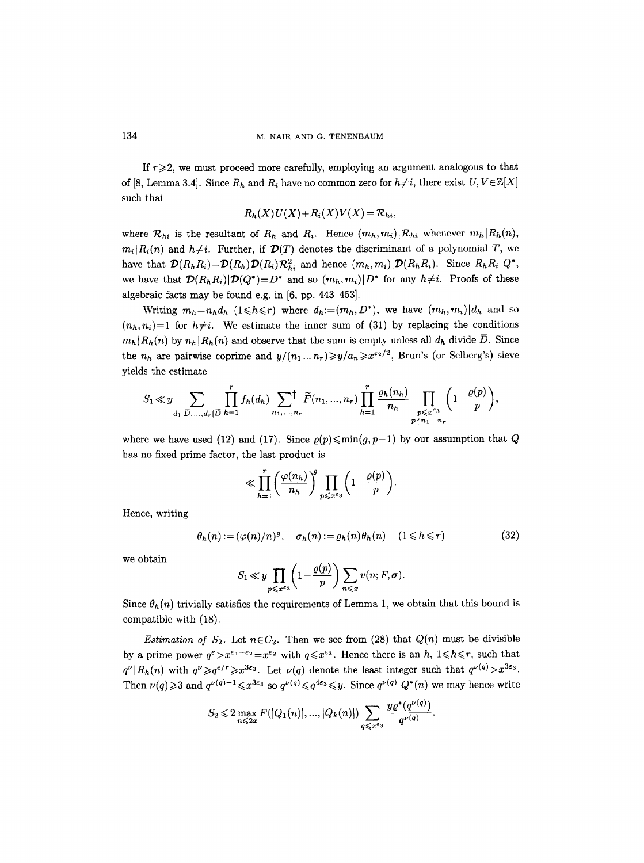If  $r \geq 2$ , we must proceed more carefully, employing an argument analogous to that of [8, Lemma 3.4]. Since  $R_h$  and  $R_i$  have no common zero for  $h \neq i$ , there exist  $U, V \in \mathbb{Z}[X]$ such that

$$
R_h(X)U(X)+R_i(X)V(X)=R_{hi},
$$

where  $\mathcal{R}_{hi}$  is the resultant of  $R_h$  and  $R_i$ . Hence  $(m_h, m_i)|\mathcal{R}_{hi}$  whenever  $m_h|R_h(n)$ ,  $m_i | R_i(n)$  and  $h \neq i$ . Further, if  $\mathcal{D}(T)$  denotes the discriminant of a polynomial T, we have that  $\mathcal{D}(R_hR_i)=\mathcal{D}(R_h)\mathcal{D}(R_i)\mathcal{R}_{hi}^2$  and hence  $(m_h, m_i)|\mathcal{D}(R_hR_i)$ . Since  $R_hR_i|Q^*$ , we have that  $\mathcal{D}(R_hR_i)|\mathcal{D}(Q^*)=D^*$  and so  $(m_h,m_i)|D^*$  for any  $h\neq i$ . Proofs of these algebraic facts may be found e.g. in [6, pp. 443-453].

Writing  $m_h=n_hd_h$  ( $1\leq h\leq r$ ) where  $d_h:=(m_h,D^*)$ , we have  $(m_h,m_i)|d_h$  and so  $(n_h, n_i)=1$  for  $h\neq i$ . We estimate the inner sum of (31) by replacing the conditions  $m_h |R_h(n)$  by  $n_h |R_h(n)$  and observe that the sum is empty unless all  $d_h$  divide  $\overline{D}$ . Since the  $n_h$  are pairwise coprime and  $y/(n_1 ... n_r) \geqslant y/a_n \geqslant x^{\epsilon_2/2}$ , Brun's (or Selberg's) sieve yields the estimate

$$
S_1\ll y\sum_{d_1|\overline{D},\ldots,d_r|\overline{D}}\prod_{h=1}^rf_h(d_h)\sum_{n_1,\ldots,n_r}\stackrel{\leftarrow}{F}(n_1,\ldots,n_r)\prod_{h=1}^r\underbrace{\frac{\varrho_h(n_h)}{n_h}}_{p\ntimes x^{\varepsilon_3}}\prod_{\substack{p\leqslant x^{\varepsilon_3}\\p\nmid n_1\ldots n_r}}\bigg(1-\frac{\varrho(p)}{p}\bigg),
$$

where we have used (12) and (17). Since  $\rho(p) \leq \min(q, p-1)$  by our assumption that Q has no fixed prime factor, the last product is

$$
\ll \prod_{h=1}^r \left(\frac{\varphi(n_h)}{n_h}\right)^g \prod_{p \leqslant x^{\epsilon_3}} \left(1 - \frac{\varrho(p)}{p}\right).
$$

Hence, writing

$$
\theta_h(n) := (\varphi(n)/n)^g, \quad \sigma_h(n) := \varrho_h(n)\theta_h(n) \quad (1 \leq h \leq r)
$$
 (32)

we obtain

$$
S_1 \ll y \prod_{p \leqslant x^{\varepsilon_3}} \left(1 - \frac{\varrho(p)}{p}\right) \sum_{n \leqslant x} v(n; F, \sigma).
$$

Since  $\theta_h(n)$  trivially satisfies the requirements of Lemma 1, we obtain that this bound is compatible with (18).

*Estimation of*  $S_2$ . Let  $n \in C_2$ . Then we see from (28) that  $Q(n)$  must be divisible by a prime power  $q^e > x^{e_1 - e_2} = x^{e_2}$  with  $q \leq x^{e_3}$ . Hence there is an *h*,  $1 \leq h \leq r$ , such that  $q^{\nu}|R_h(n)$  with  $q^{\nu} \geq q^{e/r} \geq x^{3\epsilon_3}$ . Let  $\nu(q)$  denote the least integer such that  $q^{\nu(q)} > x^{3\epsilon_3}$ . Then  $\nu(q) \geq 3$  and  $q^{\nu(q)-1} \leq x^{3\epsilon_3}$  so  $q^{\nu(q)} \leq q^{4\epsilon_3} \leq y$ . Since  $q^{\nu(q)} | Q^*(n)$  we may hence write

$$
S_2 \leq 2 \max_{n \leq 2x} F(|Q_1(n)|, ..., |Q_k(n)|) \sum_{q \leq x^{\epsilon_3}} \frac{y \varrho^*(q^{\nu(q)})}{q^{\nu(q)}}.
$$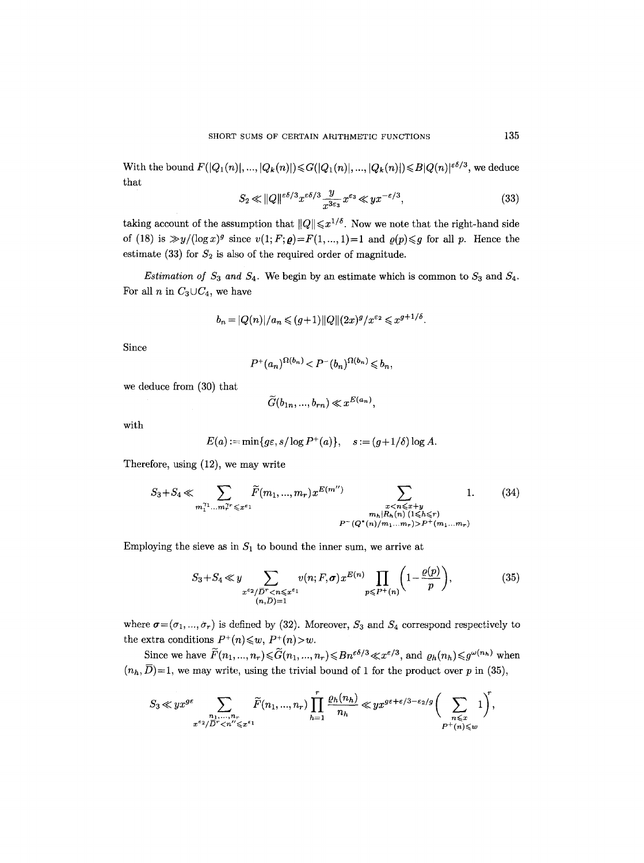With the bound  $F(|Q_1(n)|, ..., |Q_k(n)|) \leq G(|Q_1(n)|, ..., |Q_k(n)|) \leq B|Q(n)|^{\epsilon \delta/3}$ , we deduce that

$$
S_2 \ll ||Q||^{\varepsilon \delta/3} x^{\varepsilon \delta/3} \frac{y}{x^{3\varepsilon_3}} x^{\varepsilon_3} \ll y x^{-\varepsilon/3},\tag{33}
$$

taking account of the assumption that  $||Q|| \leq x^{1/\delta}$ . Now we note that the right-hand side of (18) is  $\gg y/(\log x)^g$  since  $v(1; F; \rho) = F(1, ..., 1) = 1$  and  $\rho(p) \leq g$  for all p. Hence the estimate (33) for  $S_2$  is also of the required order of magnitude.

*Estimation of*  $S_3$  and  $S_4$ . We begin by an estimate which is common to  $S_3$  and  $S_4$ . For all *n* in  $C_3 \cup C_4$ , we have

$$
b_n = |Q(n)|/a_n \leq (g+1) ||Q|| (2x)^g/x^{\varepsilon_2} \leq x^{g+1/\delta}.
$$

Since

$$
P^+(a_n)^{\Omega(b_n)} < P^-(b_n)^{\Omega(b_n)} \leqslant b_n,
$$

we deduce from (30) that

$$
\widetilde{G}(b_{1n},...,b_{rn}) \ll x^{E(a_n)},
$$

with

$$
E(a) := \min\{g\varepsilon, s/\log P^+(a)\}, \quad s := (g+1/\delta)\log A.
$$

Therefore, using (12), we may write

$$
S_3 + S_4 \ll \sum_{m_1^{\gamma_1} \dots m_r^{\gamma_r} \leq x^{\varepsilon_1}} \tilde{F}(m_1, \dots, m_r) x^{E(m'')} \sum_{\substack{x < n \leq x+y \\ m_h | R_h(n) \ (1 \leq h \leq r) \\ P^-(Q^*(n)/m_1 \dots m_r) > P^+(m_1 \dots m_r)}} 1. \tag{34}
$$

Employing the sieve as in  $S_1$  to bound the inner sum, we arrive at

$$
S_3 + S_4 \ll y \sum_{\substack{x^{\varepsilon_2}/\overline{D}^r < n \leq x^{\varepsilon_1} \\ (n,\overline{D}) = 1}} v(n;F,\sigma) x^{E(n)} \prod_{p \leq P^+(n)} \left(1 - \frac{\varrho(p)}{p}\right),\tag{35}
$$

where  $\sigma = (\sigma_1, ..., \sigma_r)$  is defined by (32). Moreover,  $S_3$  and  $S_4$  correspond respectively to the extra conditions  $P^+(n) \leq w$ ,  $P^+(n) > w$ .

Since we have  $\widetilde{F}(n_1, ..., n_r) \le \widetilde{G}(n_1, ..., n_r) \le Bn^{\varepsilon\delta/3} \ll x^{\varepsilon/3}$ , and  $\varrho_h(n_h) \le g^{\omega(n_h)}$  when  $(n_h, \overline{D}) = 1$ , we may write, using the trivial bound of 1 for the product over p in (35),

$$
S_3\ll yx^{g\varepsilon}\sum_{\substack{n_1,\ldots,n_r\\x^{\varepsilon_2}/D^r
$$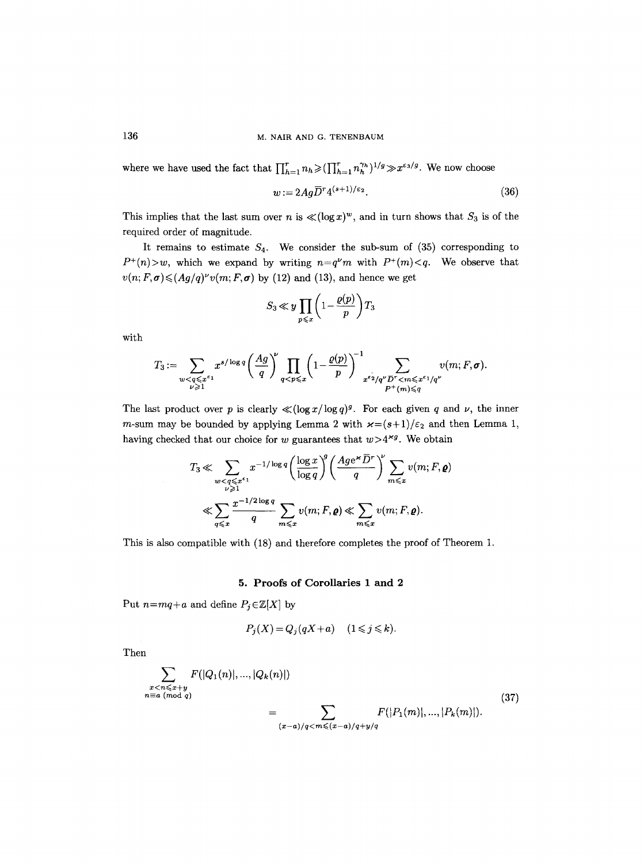where we have used the fact that  $\prod_{h=1}^r n_h \geq (\prod_{h=1}^r n_h^{\gamma_h})^{1/g} \gg x^{\varepsilon_3/g}$ . We now choose

$$
w := 2Ag\overline{D}^r 4^{(s+1)/\epsilon_2}.\tag{36}
$$

This implies that the last sum over n is  $\ll (\log x)^w$ , and in turn shows that  $S_3$  is of the required order of magnitude.

It remains to estimate  $S_4$ . We consider the sub-sum of (35) corresponding to  $P^+(n) > w$ , which we expand by writing  $n=q^{\nu}m$  with  $P^+(m) < q$ . We observe that  $v(n;F,\sigma)$   $\leq$   $(Ag/q)^{\nu}v(m;F,\sigma)$  by (12) and (13), and hence we get

$$
S_3 \ll y \prod_{p \leq x} \left(1 - \frac{\varrho(p)}{p}\right) T_3
$$

with

$$
T_3 := \sum_{\substack{w < q \leqslant x^{\varepsilon_1} \\ \nu \geqslant 1}} x^{s/\log q} \left(\frac{Ag}{q}\right)^{\nu} \prod_{q < p \leqslant x} \left(1 - \frac{\varrho(p)}{p}\right)^{-1} \sum_{\substack{x^{\varepsilon_2}/q^{\nu}D^r < m \leqslant x^{\varepsilon_1}/q^{\nu} \\ P^+(m) \leqslant q}} v(m; F, \sigma).
$$

The last product over p is clearly  $\ll (\log x / \log q)^g$ . For each given q and v, the inner m-sum may be bounded by applying Lemma 2 with  $\varkappa=(s+1)/\varepsilon_2$  and then Lemma 1, having checked that our choice for w guarantees that  $w>4^{xg}$ . We obtain

$$
T_3 \ll \sum_{\substack{w < q \leqslant x^{\varepsilon_1} \\ \nu \geqslant 1}} x^{-1/\log q} \left(\frac{\log x}{\log q}\right)^g \left(\frac{Age^* D^r}{q}\right)^{\nu} \sum_{m \leqslant x} v(m; F, \varrho)
$$
  

$$
\ll \sum_{q \leqslant x} \frac{x^{-1/2 \log q}}{q} \sum_{m \leqslant x} v(m; F, \varrho) \ll \sum_{m \leqslant x} v(m; F, \varrho).
$$

This is also compatible with (18) and therefore completes the proof of Theorem 1.

#### 5. Proofs of Corollaries 1 and 2

Put  $n=mq+a$  and define  $P_j \in \mathbb{Z}[X]$  by

$$
P_j(X) = Q_j(qX + a) \quad (1 \leq j \leq k).
$$

Then

$$
\sum_{\substack{x < n \leq x+y \\ n \equiv a \pmod{q}}} F(|Q_1(n)|, \dots, |Q_k(n)|) \\
= \sum_{(x-a)/q < m \leqslant (x-a)/q+y/q} F(|P_1(m)|, \dots, |P_k(m)|).\n\tag{37}
$$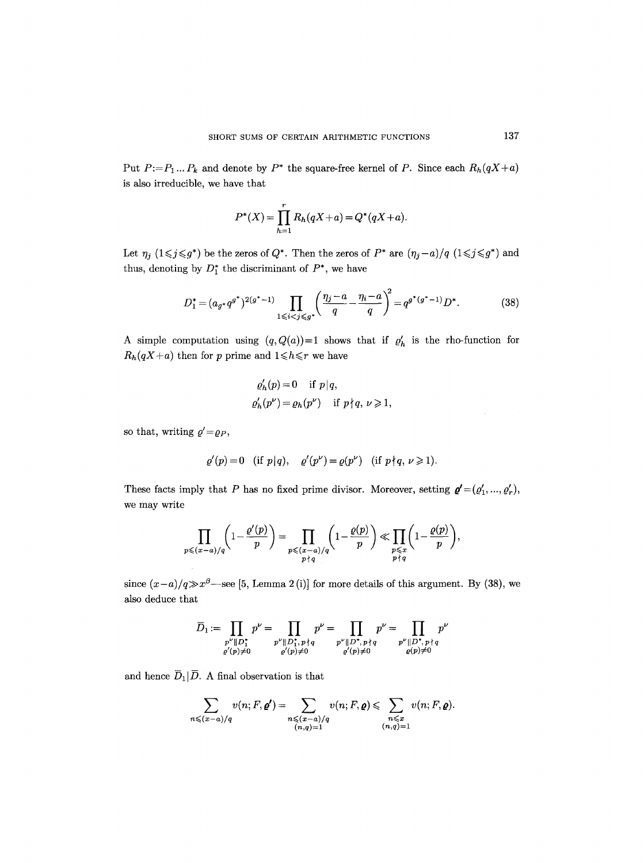Put  $P:=P_1...P_k$  and denote by  $P^*$  the square-free kernel of P. Since each  $R_h(qX+a)$ is also irreducible, we have that

$$
P^*(X) = \prod_{h=1}^r R_h(qX + a) = Q^*(qX + a).
$$

Let  $\eta_j$   $(1 \leq j \leq g^*)$  be the zeros of  $Q^*$ . Then the zeros of  $P^*$  are  $(\eta_j-a)/q$   $(1 \leq j \leq g^*)$  and thus, denoting by  $D_1^*$  the discriminant of  $P^*$ , we have

$$
D_1^* = (a_g \cdot q^{g^*})^{2(g^* - 1)} \prod_{1 \le i < j \le g^*} \left( \frac{\eta_j - a}{q} - \frac{\eta_i - a}{q} \right)^2 = q^{g^*(g^* - 1)} D^*.
$$
 (38)

A simple computation using  $(q, Q(a))=1$  shows that if  $\varrho'_h$  is the rho-function for  $R_h(qX+a)$  then for p prime and  $1 \le h \le r$  we have

$$
\rho'_h(p) = 0 \quad \text{if } p \mid q,
$$
  
\n
$$
\rho'_h(p^{\nu}) = \rho_h(p^{\nu}) \quad \text{if } p \nmid q, \nu \ge 1,
$$

so that, writing  $\rho'={\rho}_P$ ,

$$
\varrho'(p)=0 \quad (\text{if } p|q), \quad \varrho'(p^{\nu})=\varrho(p^{\nu}) \quad (\text{if } p\nmid q, \nu\geq 1).
$$

These facts imply that P has no fixed prime divisor. Moreover, setting  ${\bf q}'=(q'_1, ..., q'_r)$ , we may write

$$
\prod_{p\leqslant (x-a)/q}\left(1-\frac{\varrho'(p)}{p}\right)=\prod_{\substack{p\leqslant (x-a)/q\\p\,|\,q}}\left(1-\frac{\varrho(p)}{p}\right)\ll \prod_{\substack{p\leqslant x\\p\,|\,q}}\left(1-\frac{\varrho(p)}{p}\right),
$$

since  $(x-a)/q \gg x^{\beta}$ —see [5, Lemma 2(i)] for more details of this argument. By (38), we also deduce that

$$
\overline{D}_1:=\prod_{\substack{p^\nu\parallel D_1^{\star}\\ \varrho'(p)\neq 0}}p^\nu=\prod_{\substack{p^\nu\parallel D_1^{\star},\, p\nmid q\\ \varrho'(p)\neq 0}}p^\nu=\prod_{\substack{p^\nu\parallel D^{\star},\, p\nmid q\\ \varrho'(p)\neq 0}}p^\nu=\prod_{\substack{p^\nu\parallel D^{\star},\, p\nmid q\\ \varrho(p)\neq 0}}p^\nu
$$

and hence  $\overline{D}_1|\overline{D}$ . A final observation is that

$$
\sum_{n \leqslant (x-a)/q} v(n; F, \mathbf{Q'}) = \sum_{\substack{n \leqslant (x-a)/q \\ (n,q)=1}} v(n; F, \mathbf{Q}) \leqslant \sum_{\substack{n \leqslant x \\ (n,q)=1}} v(n; F, \mathbf{Q}).
$$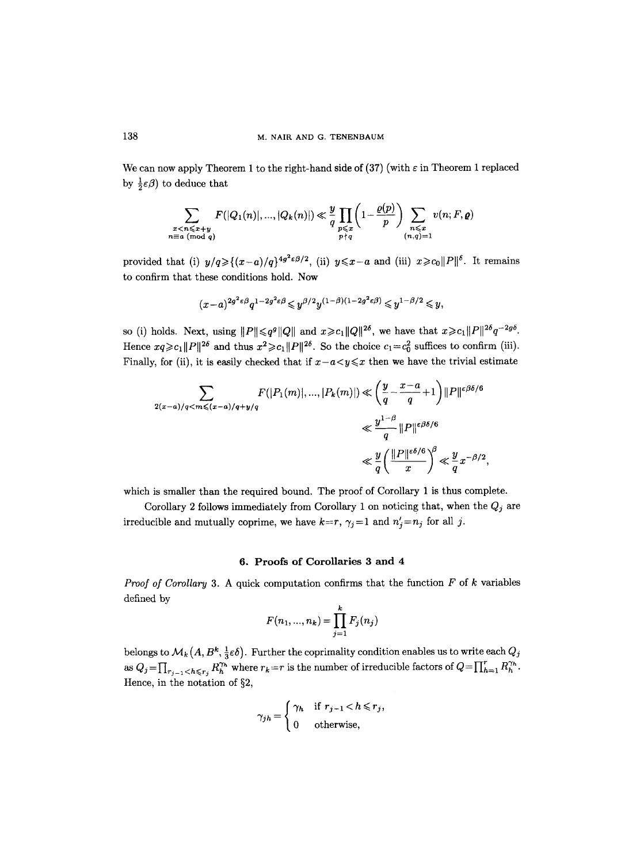We can now apply Theorem 1 to the right-hand side of (37) (with  $\varepsilon$  in Theorem 1 replaced by  $\frac{1}{2}\varepsilon\beta$ ) to deduce that

$$
\sum_{\substack{x < n \leqslant x+y \\ n \equiv a \pmod{q}}} F(|Q_1(n)|, ..., |Q_k(n)|) \ll \frac{y}{q} \prod_{\substack{p \leqslant x \\ p \nmid q}} \left(1 - \frac{\varrho(p)}{p}\right) \sum_{\substack{n \leqslant x \\ (n,q)=1}} v(n; F, \varrho)
$$

provided that (i)  $y/q \geq (x-a)/q$   $4g^2 \epsilon \beta/2$ , (ii)  $y \leq x-a$  and (iii)  $x \geq c_0 ||P||^{\delta}$ . It remains to confirm that these conditions hold. Now

$$
(x-a)^{2g^2\varepsilon\beta}q^{1-2g^2\varepsilon\beta}{\leqslant} y^{\beta/2}y^{(1-\beta)(1-2g^2\varepsilon\beta)}{\leqslant} y^{1-\beta/2}{\leqslant} y,
$$

so (i) holds. Next, using  $||P|| \leq q^g ||Q||$  and  $x \geq c_1 ||Q||^{2\delta}$ , we have that  $x \geq c_1 ||P||^{2\delta} q^{-2g\delta}$ . Hence  $xq \geq c_1 ||P||^{2\delta}$  and thus  $x^2 \geq c_1 ||P||^{2\delta}$ . So the choice  $c_1 = c_0^2$  suffices to confirm (iii). Finally, for (ii), it is easily checked that if  $x-a < y \leq x$  then we have the trivial estimate

$$
\sum_{2(x-a)/q < m \leqslant (x-a)/q+y/q} F(|P_1(m)|, \dots, |P_k(m)|) \ll \left(\frac{y}{q} - \frac{x-a}{q} + 1\right) \|P\|^{e\beta\delta/6}
$$
\n
$$
\ll \frac{y^{1-\beta}}{q} \|P\|^{e\beta\delta/6}
$$
\n
$$
\ll \frac{y}{q} \left(\frac{\|P\|^{e\delta/6}}{x}\right)^{\beta} \ll \frac{y}{q} x^{-\beta/2},
$$

which is smaller than the required bound. The proof of Corollary 1 is thus complete.

Corollary 2 follows immediately from Corollary 1 on noticing that, when the  $Q_j$  are irreducible and mutually coprime, we have  $k=r$ ,  $\gamma_j=1$  and  $n'_j=n_j$  for all j.

## **6. Proofs of Corollaries 3 and 4**

Proof of Corollary 3. A quick computation confirms that the function F of k variables defined by

$$
F(n_1, ..., n_k) = \prod_{j=1}^k F_j(n_j)
$$

belongs to  $\mathcal{M}_k(A, B^k, \frac{1}{3} \varepsilon \delta)$ . Further the coprimality condition enables us to write each  $Q_j$ as  $Q_j = \prod_{r_{j-1} < h \leq r_j} R^{\gamma_h}_h$  where  $r_k = r$  is the number of irreducible factors of  $Q = \prod_{h=1}^r R^{\gamma_h}_h$ . Hence, in the notation of  $\S2$ ,

$$
\gamma_{jh} = \begin{cases} \gamma_h & \text{if } r_{j-1} < h \le r_j, \\ 0 & \text{otherwise,} \end{cases}
$$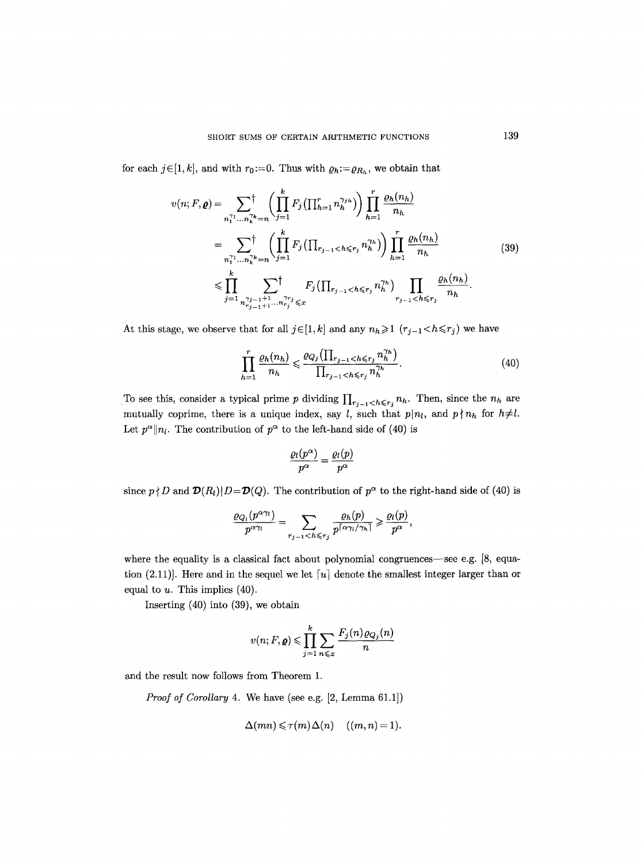for each  $j \in [1, k]$ , and with  $r_0 := 0$ . Thus with  $\rho_h := \rho_{R_h}$ , we obtain that

$$
v(n; F, \rho) = \sum_{n_1^{r_1} \dots n_k^{r_k} = n} \left( \prod_{j=1}^k F_j \left( \prod_{h=1}^r n_h^{\gamma_{jh}} \right) \right) \prod_{h=1}^r \frac{\varrho_h(n_h)}{n_h}
$$
  
\n
$$
= \sum_{n_1^{r_1} \dots n_k^{r_k} = n} \left( \prod_{j=1}^k F_j \left( \prod_{r_{j-1} < h \leq r_j} n_h^{\gamma_h} \right) \right) \prod_{h=1}^r \frac{\varrho_h(n_h)}{n_h}
$$
  
\n
$$
\leq \prod_{j=1}^k \sum_{n_{r_{j-1}^{r_{j-1}+1} \dots n_{r_j}^{r_{r_j}} \leq x} F_j \left( \prod_{r_{j-1} < h \leq r_j} n_h^{\gamma_h} \right) \prod_{r_{j-1} < h \leq r_j} \frac{\varrho_h(n_h)}{n_h}.
$$
\n(39)

At this stage, we observe that for all  $j \in [1, k]$  and any  $n_h \geq 1$   $(r_{j-1} < h \leq r_j)$  we have

$$
\prod_{h=1}^{r} \frac{\varrho_h(n_h)}{n_h} \leqslant \frac{\varrho_{Q_j}(\prod_{r_{j-1} < h \leqslant r_j} n_h^{\gamma_h})}{\prod_{r_{j-1} < h \leqslant r_j} n_h^{\gamma_h}}.\tag{40}
$$

To see this, consider a typical prime p dividing  $\prod_{r_j=1}$   $\leq h \leq r_j$   $n_h$ . Then, since the  $n_h$  are mutually coprime, there is a unique index, say *l*, such that  $p|n_l$ , and  $p\nmid n_h$  for  $h\neq l$ . Let  $p^{\alpha}||n_l$ . The contribution of  $p^{\alpha}$  to the left-hand side of (40) is

$$
\frac{\varrho_l(p^\alpha)}{p^\alpha}=\frac{\varrho_l(p)}{p^\alpha}
$$

since  $p \nmid D$  and  $\mathcal{D}(R_l)|D=\mathcal{D}(Q)$ . The contribution of  $p^{\alpha}$  to the right-hand side of (40) is

$$
\frac{\varrho_{Q_l}(p^{\alpha \gamma_l})}{p^{\alpha \gamma_l}} = \sum_{r_{j-1} < h \leq r_j} \frac{\varrho_h(p)}{p^{\lceil \alpha \gamma_l / \gamma_h \rceil}} \geqslant \frac{\varrho_l(p)}{p^{\alpha}},
$$

where the equality is a classical fact about polynomial congruences—see e.g.  $[8,$  equation (2.11)]. Here and in the sequel we let  $[u]$  denote the smallest integer larger than or equal to  $u$ . This implies  $(40)$ .

Inserting (40) into (39), we obtain

$$
v(n; F, \varrho) \leq \prod_{j=1}^{k} \sum_{n \leq x} \frac{F_j(n) \varrho_{Q_j}(n)}{n}
$$

and the result now follows from Theorem 1.

*Proof of Corollary* 4. We have (see e.g. [2, Lemma 61.1])

$$
\Delta(mn) \leqslant \tau(m)\Delta(n) \quad ((m, n) = 1).
$$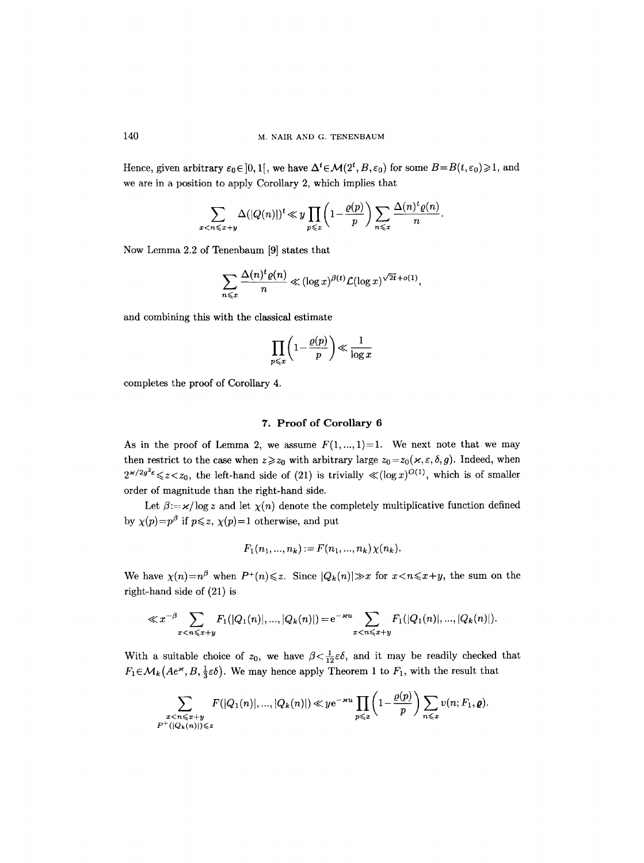Hence, given arbitrary  $\varepsilon_0 \in ]0, 1[$ , we have  $\Delta^t \in \mathcal{M}(2^t, B, \varepsilon_0)$  for some  $B = B(t, \varepsilon_0) \geq 1$ , and we are in a position to apply Corollary 2, which implies that

$$
\sum_{x < n \leqslant x+y} \Delta(|Q(n)|)^t \ll y \prod_{p \leqslant x} \left(1 - \frac{\varrho(p)}{p}\right) \sum_{n \leqslant x} \frac{\Delta(n)^t \varrho(n)}{n}.
$$

Now Lemma 2.2 of Tenenbaum [9] states that

$$
\sum_{n\leqslant x}\frac{\Delta(n)^t\varrho(n)}{n}\ll (\log x)^{\beta(t)}\mathcal{L}(\log x)^{\sqrt{2t}+o(1)},
$$

and combining this with the classical estimate

$$
\prod_{p\leqslant x}\left(1-\frac{\varrho(p)}{p}\right)\ll \frac{1}{\log x}
$$

completes the proof of Corollary 4.

## **7. Proof of Corollary 6**

As in the proof of Lemma 2, we assume  $F(1,..., 1)=1$ . We next note that we may then restrict to the case when  $z \ge z_0$  with arbitrary large  $z_0 = z_0(x, \varepsilon, \delta, g)$ . Indeed, when  $2^{x/2g^2\varepsilon} \leq z \leq z_0$ , the left-hand side of (21) is trivially  $\ll (\log x)^{O(1)}$ , which is of smaller order of magnitude than the right-hand side.

Let  $\beta = x/\log z$  and let  $\chi(n)$  denote the completely multiplicative function defined by  $\chi(p)=p^{\beta}$  if  $p\leqslant z$ ,  $\chi(p)=1$  otherwise, and put

$$
F_1(n_1, ..., n_k) := F(n_1, ..., n_k) \chi(n_k).
$$

We have  $\chi(n)=n^{\beta}$  when  $P^+(n)\leqslant z$ . Since  $|Q_k(n)|\gg x$  for  $x\leqslant n\leqslant x+y$ , the sum on the right-hand side of (21) is

$$
\ll x^{-\beta} \sum_{x < n \leqslant x+y} F_1(|Q_1(n)|, ..., |Q_k(n)|) = e^{-\varkappa u} \sum_{x < n \leqslant x+y} F_1(|Q_1(n)|, ..., |Q_k(n)|).
$$

With a suitable choice of  $z_0$ , we have  $\beta < \frac{1}{12} \varepsilon \delta$ , and it may be readily checked that  $F_1 \in \mathcal{M}_k(Ae^{\varkappa}, B, \frac{1}{3}\varepsilon\delta)$ . We may hence apply Theorem 1 to  $F_1$ , with the result that

$$
\sum_{\substack{x < n \leqslant x+y \\ P^+(|Q_k(n)|) \leqslant z}} F(|Q_1(n)|, ..., |Q_k(n)|) \ll y e^{-\varkappa u} \prod_{p \leqslant x} \left(1 - \frac{\varrho(p)}{p}\right) \sum_{n \leqslant x} v(n; F_1, \varrho).
$$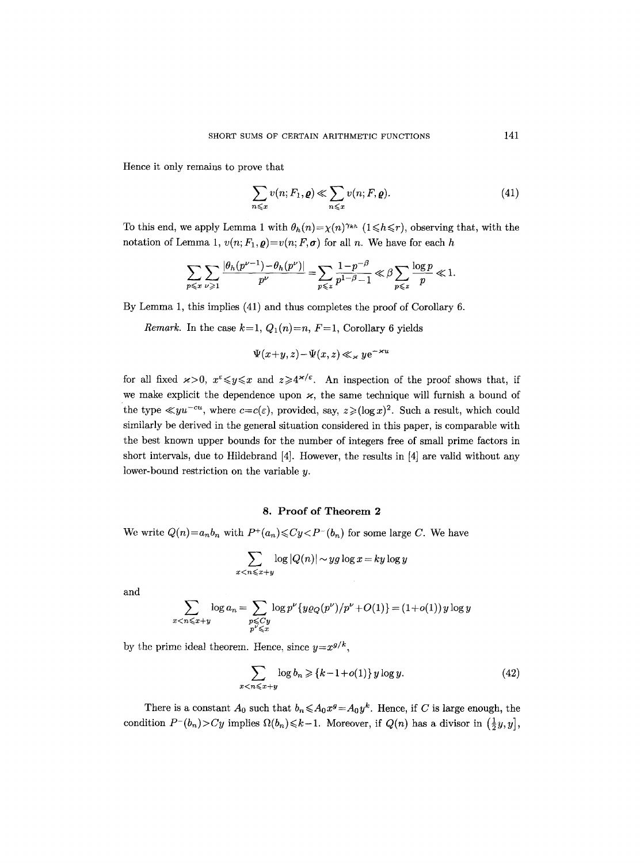Hence it only remains to prove that

$$
\sum_{n \leq x} v(n; F_1, \varrho) \ll \sum_{n \leq x} v(n; F, \varrho).
$$
\n(41)

To this end, we apply Lemma 1 with  $\theta_h(n) = \chi(n)^{\gamma_{kh}}$  ( $1 \leq h \leq r$ ), observing that, with the notation of Lemma 1,  $v(n; F_1, \rho) = v(n; F, \sigma)$  for all n. We have for each h

$$
\sum_{p \leqslant x} \sum_{\nu \geqslant 1} \frac{|\theta_h(p^{\nu-1}) - \theta_h(p^{\nu})|}{p^{\nu}} = \sum_{p \leqslant z} \frac{1 - p^{-\beta}}{p^{1-\beta} - 1} \ll \beta \sum_{p \leqslant z} \frac{\log p}{p} \ll 1.
$$

By Lemma 1, this implies (41) and thus completes the proof of Corollary 6.

*Remark.* In the case  $k=1$ ,  $Q_1(n)=n$ ,  $F=1$ , Corollary 6 yields

$$
\Psi(x+y,z) - \Psi(x,z) \ll_{\varkappa} y e^{-\varkappa u}
$$

for all fixed  $x>0$ ,  $x^{\epsilon} \leq y \leq x$  and  $z \geq 4^{x/\epsilon}$ . An inspection of the proof shows that, if we make explicit the dependence upon  $\varkappa$ , the same technique will furnish a bound of the type  $\ll yu^{-cu}$ , where  $c=c(\varepsilon)$ , provided, say,  $z\geqslant (\log x)^2$ . Such a result, which could similarly be derived in the general situation considered in this paper, is comparable with the best known upper bounds for the number of integers free of small prime factors in short intervals, due to Hildebrand [4]. However, the results in [4] are valid without any lower-bound restriction on the variable  $y$ .

## 8. Proof of Theorem 2

We write  $Q(n)=a_nb_n$  with  $P^+(a_n) \leq Cy < P^-(b_n)$  for some large C. We have

$$
\sum_{x < n \leqslant x+y} \log|Q(n)| \sim yg \log x = ky \log y
$$

and

$$
\sum_{x < n \leqslant x+y} \log a_n = \sum_{\substack{p \leqslant Cy \\ p^{\nu} \leqslant x}} \log p^{\nu} \{ y \varrho_Q(p^{\nu})/p^{\nu} + O(1) \} = (1+o(1)) y \log y
$$

by the prime ideal theorem. Hence, since  $y=x^{g/k}$ ,

$$
\sum_{x < n \leqslant x+y} \log b_n \geqslant \{k-1+o(1)\} \, y \log y. \tag{42}
$$

There is a constant  $A_0$  such that  $b_n \leq A_0 x^g = A_0 y^k$ . Hence, if C is large enough, the condition  $P^-(b_n) > Cy$  implies  $\Omega(b_n) \le k-1$ . Moreover, if  $Q(n)$  has a divisor in  $(\frac{1}{2}y, y]$ ,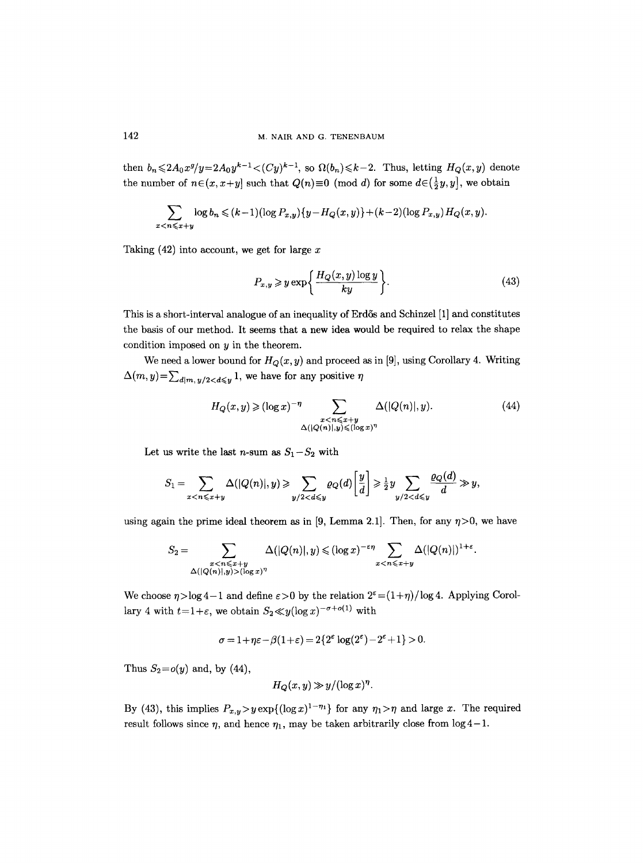then  $b_n \leqslant 2A_0x^g/y=2A_0y^{k-1}<(Cy)^{k-1}$ , so  $\Omega(b_n)\leqslant k-2$ . Thus, letting  $H_Q(x,y)$  denote the number of  $n \in (x, x+y]$  such that  $Q(n) \equiv 0 \pmod{d}$  for some  $d \in (\frac{1}{2}y, y]$ , we obtain

$$
\sum_{x < n \leqslant x+y} \log b_n \leqslant (k-1)(\log P_{x,y})\{y - H_Q(x,y)\} + (k-2)(\log P_{x,y})H_Q(x,y).
$$

Taking  $(42)$  into account, we get for large x

$$
P_{x,y} \geqslant y \exp\left\{\frac{H_Q(x,y) \log y}{ky}\right\}.
$$
\n(43)

This is a short-interval analogue of an inequality of Erd6s and Schinzel [1] and constitutes the basis of our method. It seems that a new idea would be required to relax the shape condition imposed on  $y$  in the theorem.

We need a lower bound for  $H_Q(x, y)$  and proceed as in [9], using Corollary 4. Writing  $\Delta(m, y) = \sum_{d|m, y/2 < d \leq y} 1$ , we have for any positive  $\eta$ 

$$
H_Q(x,y) \ge (\log x)^{-\eta} \sum_{\substack{x < n \le x+y \\ \Delta(|Q(n)|,y) \le (\log x)^{\eta}}} \Delta(|Q(n)|,y). \tag{44}
$$

Let us write the last *n*-sum as  $S_1-S_2$  with

$$
S_1 = \sum_{x < n \leqslant x+y} \Delta(|Q(n)|, y) \geqslant \sum_{y/2 < d \leqslant y} \varrho_Q(d) \left[ \frac{y}{d} \right] \geqslant \frac{1}{2} y \sum_{y/2 < d \leqslant y} \frac{\varrho_Q(d)}{d} \gg y,
$$

using again the prime ideal theorem as in [9, Lemma 2.1]. Then, for any  $\eta > 0$ , we have

$$
S_2=\sum_{\substack{x(\log x)^{\eta}}} \Delta(|Q(n)|,y) \leqslant (\log x)^{-\varepsilon \eta}\sum_{x
$$

We choose  $\eta > \log 4 - 1$  and define  $\varepsilon > 0$  by the relation  $2^{\varepsilon} = (1+\eta)/\log 4$ . Applying Corollary 4 with  $t=1+\varepsilon$ , we obtain  $S_2 \ll y(\log x)^{-\sigma+o(1)}$  with

$$
\sigma = 1 + \eta \varepsilon - \beta(1+\varepsilon) = 2\{2^{\varepsilon} \log(2^{\varepsilon}) - 2^{\varepsilon} + 1\} > 0.
$$

Thus  $S_2=o(y)$  and, by (44),

$$
H_Q(x, y) \gg y/(\log x)^{\eta}.
$$

By (43), this implies  $P_{x,y} > y \exp\{(\log x)^{1-\eta_1}\}\)$  for any  $\eta_1 > \eta$  and large x. The required result follows since  $\eta$ , and hence  $\eta_1$ , may be taken arbitrarily close from  $\log 4 - 1$ .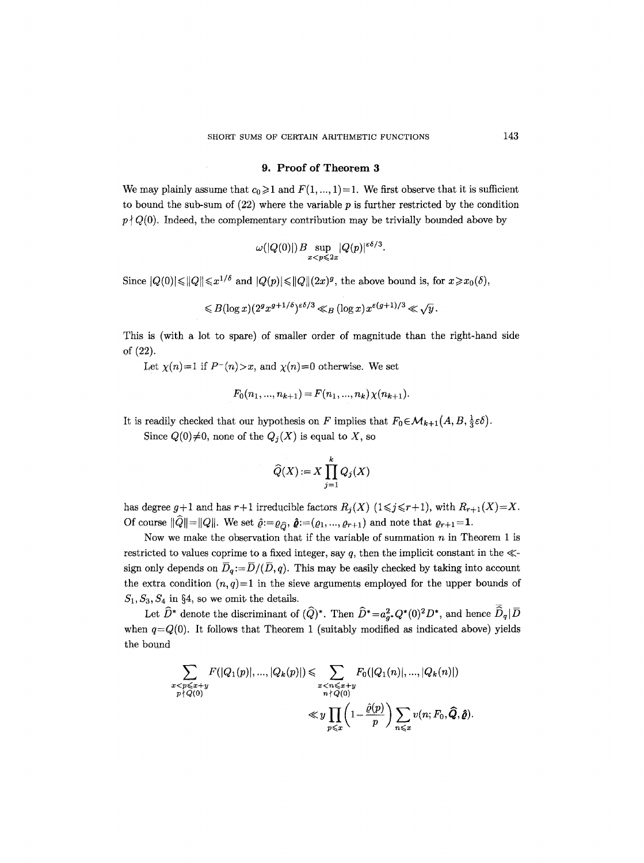#### 9. Proof of Theorem 3

We may plainly assume that  $c_0 \geq 1$  and  $F(1, ..., 1)=1$ . We first observe that it is sufficient to bound the sub-sum of  $(22)$  where the variable p is further restricted by the condition  $p \nmid Q(0)$ , Indeed, the complementary contribution may be trivially bounded above by

$$
\omega(|Q(0)|)B\sup_{x
$$

Since  $|Q(0)| \leq |Q| \leq x^{1/\delta}$  and  $|Q(p)| \leq |Q| \leq (2x)^g$ , the above bound is, for  $x \geq x_0(\delta)$ ,

$$
\leqslant B(\log x) (2^gx^{g+1/\delta})^{\varepsilon\delta/3} \ll_B (\log x) x^{\varepsilon(g+1)/3} \ll \sqrt{y}.
$$

This is (with a lot to spare) of smaller order of magnitude than the right.hand side of (22).

Let  $\chi(n)=1$  if  $P^-(n) > x$ , and  $\chi(n)=0$  otherwise. We set

$$
F_0(n_1, ..., n_{k+1}) = F(n_1, ..., n_k) \chi(n_{k+1}).
$$

It is readily checked that our hypothesis on F implies that  $F_0 \in \mathcal{M}_{k+1}(A, B, \frac{1}{3} \varepsilon \delta)$ .

Since  $Q(0)\neq 0$ , none of the  $Q_i(X)$  is equal to X, so

$$
\widehat{Q}(X) := X \prod_{j=1}^k Q_j(X)
$$

has degree  $g+1$  and has  $r+1$  irreducible factors  $R_j(X)$   $(1 \leq j \leq r+1)$ , with  $R_{r+1}(X)=X$ . Of course  $\|\widehat{Q}\|=\|Q\|$ . We set  $\widehat{\varrho}:=\varrho_{\widehat{Q}}, \widehat{\boldsymbol{\varrho}}:=(\varrho_1, ..., \varrho_{r+1})$  and note that  $\varrho_{r+1}=1$ .

Now we make the observation that if the variable of summation  $n$  in Theorem 1 is restricted to values coprime to a fixed integer, say  $q$ , then the implicit constant in the  $\ll$ sign only depends on  $\overline{D}_q := \overline{D}/(\overline{D}, q)$ . This may be easily checked by taking into account the extra condition  $(n, q)=1$  in the sieve arguments employed for the upper bounds of  $S_1, S_3, S_4$  in §4, so we omit the details.

Let  $\widehat{D}^*$  denote the discriminant of  $(\widehat{Q})^*$ . Then  $\widehat{D}^* = a^2_{\sigma^*} Q^*(0)^2 D^*$ , and hence  $\widehat{\bar{D}}_q | \bar{D}$ when  $q=Q(0)$ . It follows that Theorem 1 (suitably modified as indicated above) yields the bound

$$
\sum_{\substack{x < p \leqslant x+y \\ p \nmid Q(0)}} F(|Q_1(p)|, \ldots, |Q_k(p)|) \leqslant \sum_{\substack{x < n \leqslant x+y \\ n \nmid Q(0)}} F_0(|Q_1(n)|, \ldots, |Q_k(n)|)
$$
\n
$$
\ll y \prod_{p \leqslant x} \left(1 - \frac{\hat{\varrho}(p)}{p}\right) \sum_{n \leqslant x} v(n; F_0, \widehat{Q}, \widehat{\varrho}).
$$